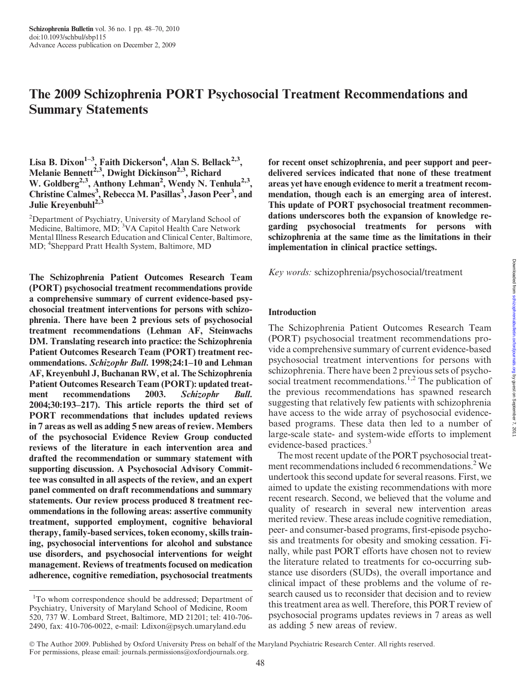# The 2009 Schizophrenia PORT Psychosocial Treatment Recommendations and Summary Statements

Lisa B. Dixon<sup>1-3</sup>, Faith Dickerson<sup>4</sup>, Alan S. Bellack<sup>2,3</sup>, Melanie Bennett<sup>2,3</sup>, Dwight Dickinson<sup>2,3</sup>, Richard W. Goldberg<sup>2,3</sup>, Anthony Lehman<sup>2</sup>, Wendy N. Tenhula<sup>2,3</sup>, Christine Calmes<sup>3</sup>, Rebecca M. Pasillas<sup>3</sup>, Jason Peer<sup>3</sup>, and Julie Kreyenbuhl<sup>2,3</sup>

<sup>2</sup>Department of Psychiatry, University of Maryland School of Medicine, Baltimore, MD; <sup>3</sup>VA Capitol Health Care Network Mental Illness Research Education and Clinical Center, Baltimore, MD; <sup>4</sup> Sheppard Pratt Health System, Baltimore, MD

The Schizophrenia Patient Outcomes Research Team (PORT) psychosocial treatment recommendations provide a comprehensive summary of current evidence-based psychosocial treatment interventions for persons with schizophrenia. There have been 2 previous sets of psychosocial treatment recommendations (Lehman AF, Steinwachs DM. Translating research into practice: the Schizophrenia Patient Outcomes Research Team (PORT) treatment recommendations. Schizophr Bull. 1998;24:1–10 and Lehman AF, Kreyenbuhl J, Buchanan RW, et al. The Schizophrenia Patient Outcomes Research Team (PORT): updated treatment recommendations 2003. Schizophr Bull. 2004;30:193–217). This article reports the third set of PORT recommendations that includes updated reviews in 7 areas as well as adding 5 new areas of review. Members of the psychosocial Evidence Review Group conducted reviews of the literature in each intervention area and drafted the recommendation or summary statement with supporting discussion. A Psychosocial Advisory Committee was consulted in all aspects of the review, and an expert panel commented on draft recommendations and summary statements. Our review process produced 8 treatment recommendations in the following areas: assertive community treatment, supported employment, cognitive behavioral therapy, family-based services, token economy, skills training, psychosocial interventions for alcohol and substance use disorders, and psychosocial interventions for weight management. Reviews of treatments focused on medication adherence, cognitive remediation, psychosocial treatments

for recent onset schizophrenia, and peer support and peerdelivered services indicated that none of these treatment areas yet have enough evidence to merit a treatment recommendation, though each is an emerging area of interest. This update of PORT psychosocial treatment recommendations underscores both the expansion of knowledge regarding psychosocial treatments for persons with schizophrenia at the same time as the limitations in their implementation in clinical practice settings.

Key words: schizophrenia/psychosocial/treatment

#### Introduction

The Schizophrenia Patient Outcomes Research Team (PORT) psychosocial treatment recommendations provide a comprehensive summary of current evidence-based psychosocial treatment interventions for persons with schizophrenia. There have been 2 previous sets of psychosocial treatment recommendations.<sup>1,2</sup> The publication of the previous recommendations has spawned research suggesting that relatively few patients with schizophrenia have access to the wide array of psychosocial evidencebased programs. These data then led to a number of large-scale state- and system-wide efforts to implement evidence-based practices.<sup>3</sup>

The most recent update of the PORT psychosocial treatment recommendations included 6 recommendations.<sup>2</sup> We undertook this second update for several reasons. First, we aimed to update the existing recommendations with more recent research. Second, we believed that the volume and quality of research in several new intervention areas merited review. These areas include cognitive remediation, peer- and consumer-based programs, first-episode psychosis and treatments for obesity and smoking cessation. Finally, while past PORT efforts have chosen not to review the literature related to treatments for co-occurring substance use disorders (SUDs), the overall importance and clinical impact of these problems and the volume of research caused us to reconsider that decision and to review this treatment area as well. Therefore, this PORT review of psychosocial programs updates reviews in 7 areas as well as adding 5 new areas of review.

<sup>&</sup>lt;sup>1</sup>To whom correspondence should be addressed; Department of Psychiatry, University of Maryland School of Medicine, Room 520, 737 W. Lombard Street, Baltimore, MD 21201; tel: 410-706- 2490, fax: 410-706-0022, e-mail: Ldixon@psych.umaryland.edu

The Author 2009. Published by Oxford University Press on behalf of the Maryland Psychiatric Research Center. All rights reserved. For permissions, please email: journals.permissions@oxfordjournals.org.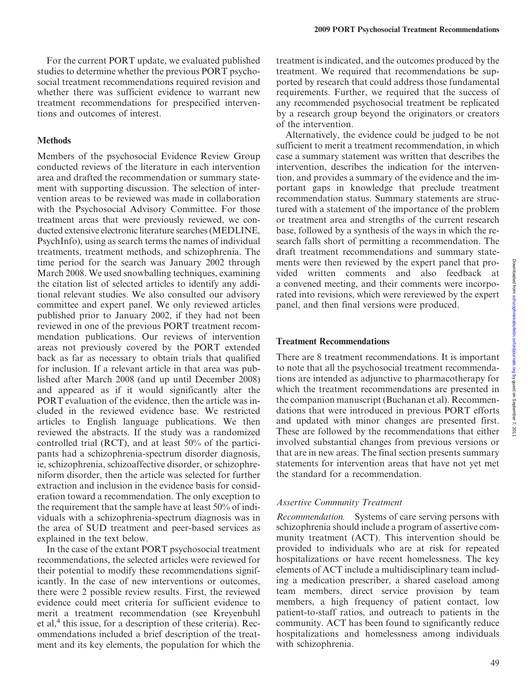For the current PORT update, we evaluated published studies to determine whether the previous PORT psychosocial treatment recommendations required revision and whether there was sufficient evidence to warrant new treatment recommendations for prespecified interventions and outcomes of interest.

#### **Methods**

Members of the psychosocial Evidence Review Group conducted reviews of the literature in each intervention area and drafted the recommendation or summary statement with supporting discussion. The selection of intervention areas to be reviewed was made in collaboration with the Psychosocial Advisory Committee. For those treatment areas that were previously reviewed, we conducted extensive electronic literature searches (MEDLINE, PsychInfo), using as search terms the names of individual treatments, treatment methods, and schizophrenia. The time period for the search was January 2002 through March 2008. We used snowballing techniques, examining the citation list of selected articles to identify any additional relevant studies. We also consulted our advisory committee and expert panel. We only reviewed articles published prior to January 2002, if they had not been reviewed in one of the previous PORT treatment recommendation publications. Our reviews of intervention areas not previously covered by the PORT extended back as far as necessary to obtain trials that qualified for inclusion. If a relevant article in that area was published after March 2008 (and up until December 2008) and appeared as if it would significantly alter the PORT evaluation of the evidence, then the article was included in the reviewed evidence base. We restricted articles to English language publications. We then reviewed the abstracts. If the study was a randomized controlled trial (RCT), and at least 50% of the participants had a schizophrenia-spectrum disorder diagnosis, ie, schizophrenia, schizoaffective disorder, or schizophreniform disorder, then the article was selected for further extraction and inclusion in the evidence basis for consideration toward a recommendation. The only exception to the requirement that the sample have at least 50% of individuals with a schizophrenia-spectrum diagnosis was in the area of SUD treatment and peer-based services as explained in the text below.

In the case of the extant PORT psychosocial treatment recommendations, the selected articles were reviewed for their potential to modify these recommendations significantly. In the case of new interventions or outcomes, there were 2 possible review results. First, the reviewed evidence could meet criteria for sufficient evidence to merit a treatment recommendation (see Kreyenbuhl et al, $4$  this issue, for a description of these criteria). Recommendations included a brief description of the treatment and its key elements, the population for which the treatment is indicated, and the outcomes produced by the treatment. We required that recommendations be supported by research that could address those fundamental requirements. Further, we required that the success of any recommended psychosocial treatment be replicated by a research group beyond the originators or creators of the intervention.

Alternatively, the evidence could be judged to be not sufficient to merit a treatment recommendation, in which case a summary statement was written that describes the intervention, describes the indication for the intervention, and provides a summary of the evidence and the important gaps in knowledge that preclude treatment recommendation status. Summary statements are structured with a statement of the importance of the problem or treatment area and strengths of the current research base, followed by a synthesis of the ways in which the research falls short of permitting a recommendation. The draft treatment recommendations and summary statements were then reviewed by the expert panel that provided written comments and also feedback at a convened meeting, and their comments were incorporated into revisions, which were rereviewed by the expert panel, and then final versions were produced.

#### Treatment Recommendations

There are 8 treatment recommendations. It is important to note that all the psychosocial treatment recommendations are intended as adjunctive to pharmacotherapy for which the treatment recommendations are presented in the companion manuscript (Buchanan et al). Recommendations that were introduced in previous PORT efforts and updated with minor changes are presented first. These are followed by the recommendations that either involved substantial changes from previous versions or that are in new areas. The final section presents summary statements for intervention areas that have not yet met the standard for a recommendation.

#### Assertive Community Treatment

Recommendation. Systems of care serving persons with schizophrenia should include a program of assertive community treatment (ACT). This intervention should be provided to individuals who are at risk for repeated hospitalizations or have recent homelessness. The key elements of ACT include a multidisciplinary team including a medication prescriber, a shared caseload among team members, direct service provision by team members, a high frequency of patient contact, low patient-to-staff ratios, and outreach to patients in the community. ACT has been found to significantly reduce hospitalizations and homelessness among individuals with schizophrenia.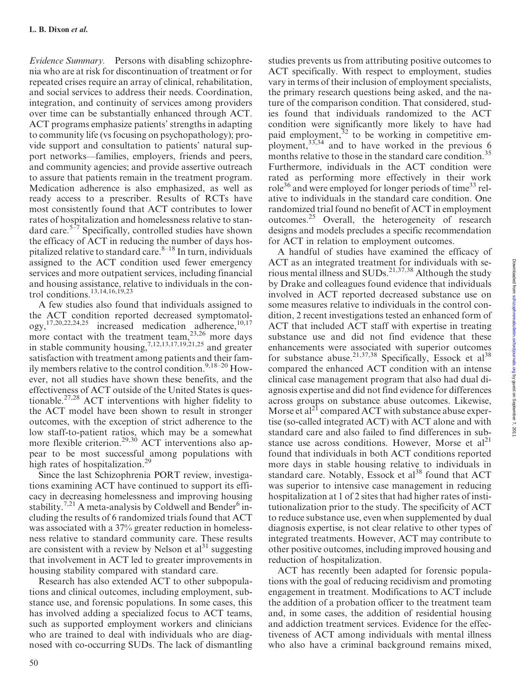Evidence Summary. Persons with disabling schizophrenia who are at risk for discontinuation of treatment or for repeated crises require an array of clinical, rehabilitation, and social services to address their needs. Coordination, integration, and continuity of services among providers over time can be substantially enhanced through ACT. ACT programs emphasize patients' strengths in adapting to community life (vs focusing on psychopathology); provide support and consultation to patients' natural support networks—families, employers, friends and peers, and community agencies; and provide assertive outreach to assure that patients remain in the treatment program. Medication adherence is also emphasized, as well as ready access to a prescriber. Results of RCTs have most consistently found that ACT contributes to lower rates of hospitalization and homelessness relative to standard care. $5\frac{5}{7}$  Specifically, controlled studies have shown the efficacy of ACT in reducing the number of days hospitalized relative to standard care. $8-18$  In turn, individuals assigned to the ACT condition used fewer emergency services and more outpatient services, including financial and housing assistance, relative to individuals in the control conditions.13,14,16,19,23

A few studies also found that individuals assigned to the ACT condition reported decreased symptomatology,<sup>17,20,22,24,25</sup> increased medication adherence,<sup>10,17</sup> more contact with the treatment team,<sup>23,26</sup> more days in stable community housing,  $7,12,13,17,19,21,25$  and greater satisfaction with treatment among patients and their family members relative to the control condition.<sup>9,18-20</sup> However, not all studies have shown these benefits, and the effectiveness of ACT outside of the United States is questionable.27,28 ACT interventions with higher fidelity to the ACT model have been shown to result in stronger outcomes, with the exception of strict adherence to the low staff-to-patient ratios, which may be a somewhat more flexible criterion.<sup>29,30</sup> ACT interventions also appear to be most successful among populations with high rates of hospitalization.<sup>29</sup>

Since the last Schizophrenia PORT review, investigations examining ACT have continued to support its efficacy in decreasing homelessness and improving housing stability.<sup>7,21</sup> A meta-analysis by Coldwell and Bender<sup>6</sup> including the results of 6 randomized trials found that ACT was associated with a 37% greater reduction in homelessness relative to standard community care. These results are consistent with a review by Nelson et  $al<sup>31</sup>$  suggesting that involvement in ACT led to greater improvements in housing stability compared with standard care.

Research has also extended ACT to other subpopulations and clinical outcomes, including employment, substance use, and forensic populations. In some cases, this has involved adding a specialized focus to ACT teams, such as supported employment workers and clinicians who are trained to deal with individuals who are diagnosed with co-occurring SUDs. The lack of dismantling studies prevents us from attributing positive outcomes to ACT specifically. With respect to employment, studies vary in terms of their inclusion of employment specialists, the primary research questions being asked, and the nature of the comparison condition. That considered, studies found that individuals randomized to the ACT condition were significantly more likely to have had paid employment,  $32$  to be working in competitive employment,<sup>33,34</sup> and to have worked in the previous 6 months relative to those in the standard care condition.<sup>35</sup> Furthermore, individuals in the ACT condition were rated as performing more effectively in their work role<sup>36</sup> and were employed for longer periods of time<sup>33</sup> relative to individuals in the standard care condition. One randomized trial found no benefit of ACT in employment outcomes.25 Overall, the heterogeneity of research designs and models precludes a specific recommendation for ACT in relation to employment outcomes.

A handful of studies have examined the efficacy of ACT as an integrated treatment for individuals with serious mental illness and  $\text{SUBs}$ <sup>21,37,38</sup> Although the study by Drake and colleagues found evidence that individuals involved in ACT reported decreased substance use on some measures relative to individuals in the control condition, 2 recent investigations tested an enhanced form of ACT that included ACT staff with expertise in treating substance use and did not find evidence that these enhancements were associated with superior outcomes for substance abuse.<sup>21,37,38</sup> Specifically, Essock et al<sup>38</sup> compared the enhanced ACT condition with an intense clinical case management program that also had dual diagnosis expertise and did not find evidence for differences across groups on substance abuse outcomes. Likewise, Morse et al<sup>21</sup> compared ACT with substance abuse expertise (so-called integrated ACT) with ACT alone and with standard care and also failed to find differences in substance use across conditions. However, Morse et  $al<sup>21</sup>$ found that individuals in both ACT conditions reported more days in stable housing relative to individuals in standard care. Notably, Essock et al<sup>38</sup> found that ACT was superior to intensive case management in reducing hospitalization at 1 of 2 sites that had higher rates of institutionalization prior to the study. The specificity of ACT to reduce substance use, even when supplemented by dual diagnosis expertise, is not clear relative to other types of integrated treatments. However, ACT may contribute to other positive outcomes, including improved housing and reduction of hospitalization.

ACT has recently been adapted for forensic populations with the goal of reducing recidivism and promoting engagement in treatment. Modifications to ACT include the addition of a probation officer to the treatment team and, in some cases, the addition of residential housing and addiction treatment services. Evidence for the effectiveness of ACT among individuals with mental illness who also have a criminal background remains mixed,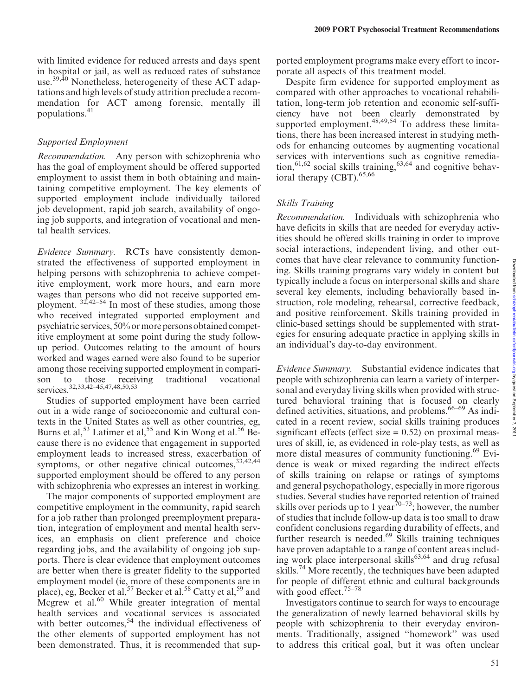with limited evidence for reduced arrests and days spent in hospital or jail, as well as reduced rates of substance use.<sup>39,40</sup> Nonetheless, heterogeneity of these ACT adaptations and high levels of study attrition preclude a recommendation for ACT among forensic, mentally ill populations.41

#### Supported Employment

Recommendation. Any person with schizophrenia who has the goal of employment should be offered supported employment to assist them in both obtaining and maintaining competitive employment. The key elements of supported employment include individually tailored job development, rapid job search, availability of ongoing job supports, and integration of vocational and mental health services.

Evidence Summary. RCTs have consistently demonstrated the effectiveness of supported employment in helping persons with schizophrenia to achieve competitive employment, work more hours, and earn more wages than persons who did not receive supported employment.  $32,42-54$  In most of these studies, among those who received integrated supported employment and psychiatric services, 50% ormore persons obtained competitive employment at some point during the study followup period. Outcomes relating to the amount of hours worked and wages earned were also found to be superior among those receiving supported employment in comparison to those receiving traditional vocational services.32,33,42–45,47,48,50,53

Studies of supported employment have been carried out in a wide range of socioeconomic and cultural contexts in the United States as well as other countries, eg, Burns et al,  $^{53}$  Latimer et al,  $^{55}$  and Kin Wong et al.  $^{56}$  Because there is no evidence that engagement in supported employment leads to increased stress, exacerbation of symptoms, or other negative clinical outcomes, 33,42,44 supported employment should be offered to any person with schizophrenia who expresses an interest in working.

The major components of supported employment are competitive employment in the community, rapid search for a job rather than prolonged preemployment preparation, integration of employment and mental health services, an emphasis on client preference and choice regarding jobs, and the availability of ongoing job supports. There is clear evidence that employment outcomes are better when there is greater fidelity to the supported employment model (ie, more of these components are in place), eg, Becker et al,<sup>57</sup> Becker et al,<sup>58</sup> Catty et al,<sup>59</sup> and Mcgrew et al.<sup>60</sup> While greater integration of mental health services and vocational services is associated with better outcomes,  $54$  the individual effectiveness of the other elements of supported employment has not been demonstrated. Thus, it is recommended that supported employment programs make every effort to incorporate all aspects of this treatment model.

Despite firm evidence for supported employment as compared with other approaches to vocational rehabilitation, long-term job retention and economic self-sufficiency have not been clearly demonstrated by supported employment.<sup>48,49,54</sup> To address these limitations, there has been increased interest in studying methods for enhancing outcomes by augmenting vocational services with interventions such as cognitive remediation,<sup>61,62</sup> social skills training,<sup>63,64</sup> and cognitive behavioral therapy (CBT).<sup>65,66</sup>

#### Skills Training

Recommendation. Individuals with schizophrenia who have deficits in skills that are needed for everyday activities should be offered skills training in order to improve social interactions, independent living, and other outcomes that have clear relevance to community functioning. Skills training programs vary widely in content but typically include a focus on interpersonal skills and share several key elements, including behaviorally based instruction, role modeling, rehearsal, corrective feedback, and positive reinforcement. Skills training provided in clinic-based settings should be supplemented with strategies for ensuring adequate practice in applying skills in an individual's day-to-day environment.

Evidence Summary. Substantial evidence indicates that people with schizophrenia can learn a variety of interpersonal and everyday living skills when provided with structured behavioral training that is focused on clearly defined activities, situations, and problems. $66-69$  As indicated in a recent review, social skills training produces significant effects (effect size  $= 0.52$ ) on proximal measures of skill, ie, as evidenced in role-play tests, as well as more distal measures of community functioning.<sup>69</sup> Evidence is weak or mixed regarding the indirect effects of skills training on relapse or ratings of symptoms and general psychopathology, especially in more rigorous studies. Several studies have reported retention of trained skills over periods up to 1 year<sup>70–73</sup>; however, the number of studies that include follow-up data is too small to draw confident conclusions regarding durability of effects, and further research is needed.<sup>69</sup> Skills training techniques have proven adaptable to a range of content areas including work place interpersonal skills<sup>63,64</sup> and drug refusal skills.<sup>74</sup> More recently, the techniques have been adapted for people of different ethnic and cultural backgrounds with good effect.<sup>75-78</sup>

Investigators continue to search for ways to encourage the generalization of newly learned behavioral skills by people with schizophrenia to their everyday environments. Traditionally, assigned ''homework'' was used to address this critical goal, but it was often unclear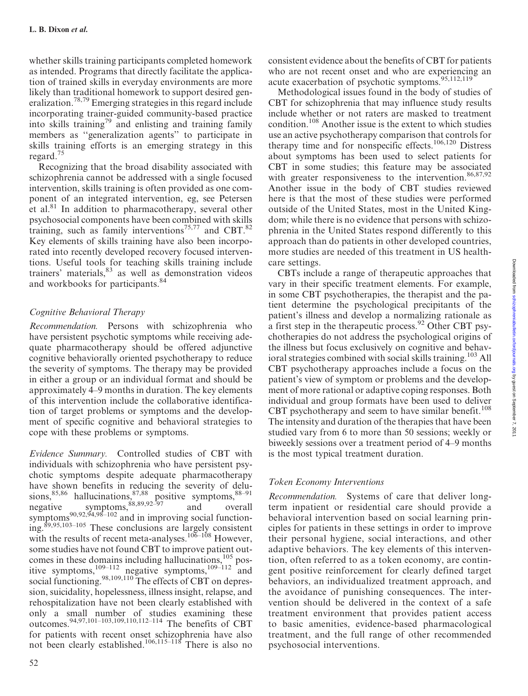whether skills training participants completed homework as intended. Programs that directly facilitate the application of trained skills in everyday environments are more likely than traditional homework to support desired generalization.78,79 Emerging strategies in this regard include incorporating trainer-guided community-based practice into skills training<sup>79</sup> and enlisting and training family members as ''generalization agents'' to participate in skills training efforts is an emerging strategy in this regard.<sup>75</sup>

Recognizing that the broad disability associated with schizophrenia cannot be addressed with a single focused intervention, skills training is often provided as one component of an integrated intervention, eg, see Petersen et al.<sup>81</sup> In addition to pharmacotherapy, several other psychosocial components have been combined with skills training, such as family interventions<sup>75,77</sup> and CBT.<sup>82</sup> Key elements of skills training have also been incorporated into recently developed recovery focused interventions. Useful tools for teaching skills training include trainers' materials,<sup>83</sup> as well as demonstration videos and workbooks for participants.<sup>84</sup>

# Cognitive Behavioral Therapy

Recommendation. Persons with schizophrenia who have persistent psychotic symptoms while receiving adequate pharmacotherapy should be offered adjunctive cognitive behaviorally oriented psychotherapy to reduce the severity of symptoms. The therapy may be provided in either a group or an individual format and should be approximately 4–9 months in duration. The key elements of this intervention include the collaborative identification of target problems or symptoms and the development of specific cognitive and behavioral strategies to cope with these problems or symptoms.

Evidence Summary. Controlled studies of CBT with individuals with schizophrenia who have persistent psychotic symptoms despite adequate pharmacotherapy have shown benefits in reducing the severity of delusions,  $85,86$  hallucinations,  $87,88$  positive symptoms,  $88-91$ negative symptoms,  $88,89,92-97$  and overall symptoms $90,92,94,98-102$  and in improving social functioning.89,95,103–105 These conclusions are largely consistent with the results of recent meta-analyses.<sup>106–108</sup> However, some studies have not found CBT to improve patient outcomes in these domains including hallucinations,<sup>105</sup> positive symptoms,  $109-112$  negative symptoms,  $109-112$  and social functioning.<sup>98,109,110</sup> The effects of CBT on depression, suicidality, hopelessness, illness insight, relapse, and rehospitalization have not been clearly established with only a small number of studies examining these outcomes.94,97,101–103,109,110,112–114 The benefits of CBT for patients with recent onset schizophrenia have also not been clearly established.<sup>106,115–118</sup> There is also no

consistent evidence about the benefits of CBT for patients who are not recent onset and who are experiencing an acute exacerbation of psychotic symptoms.<sup>95,112,119</sup>

Methodological issues found in the body of studies of CBT for schizophrenia that may influence study results include whether or not raters are masked to treatment condition.108 Another issue is the extent to which studies use an active psychotherapy comparison that controls for therapy time and for nonspecific effects.<sup>106,120</sup> Distress about symptoms has been used to select patients for CBT in some studies; this feature may be associated with greater responsiveness to the intervention.  $86,87,92$ Another issue in the body of CBT studies reviewed here is that the most of these studies were performed outside of the United States, most in the United Kingdom; while there is no evidence that persons with schizophrenia in the United States respond differently to this approach than do patients in other developed countries, more studies are needed of this treatment in US healthcare settings.

CBTs include a range of therapeutic approaches that vary in their specific treatment elements. For example, in some CBT psychotherapies, the therapist and the patient determine the psychological precipitants of the patient's illness and develop a normalizing rationale as a first step in the therapeutic process.<sup>92</sup> Other CBT psychotherapies do not address the psychological origins of the illness but focus exclusively on cognitive and behavioral strategies combined with social skills training.<sup>103</sup> All CBT psychotherapy approaches include a focus on the patient's view of symptom or problems and the development of more rational or adaptive coping responses. Both individual and group formats have been used to deliver CBT psychotherapy and seem to have similar benefit.<sup>108</sup> The intensity and duration of the therapies that have been studied vary from 6 to more than 50 sessions; weekly or biweekly sessions over a treatment period of 4–9 months is the most typical treatment duration.

# Token Economy Interventions

Recommendation. Systems of care that deliver longterm inpatient or residential care should provide a behavioral intervention based on social learning principles for patients in these settings in order to improve their personal hygiene, social interactions, and other adaptive behaviors. The key elements of this intervention, often referred to as a token economy, are contingent positive reinforcement for clearly defined target behaviors, an individualized treatment approach, and the avoidance of punishing consequences. The intervention should be delivered in the context of a safe treatment environment that provides patient access to basic amenities, evidence-based pharmacological treatment, and the full range of other recommended psychosocial interventions.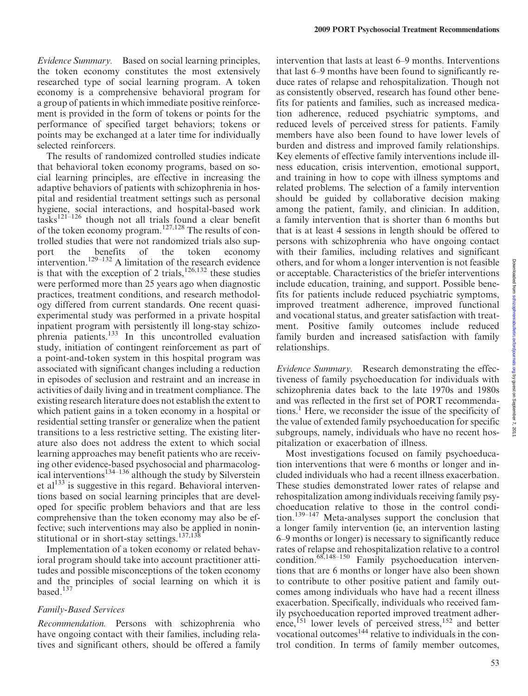Evidence Summary. Based on social learning principles, the token economy constitutes the most extensively researched type of social learning program. A token economy is a comprehensive behavioral program for a group of patients in which immediate positive reinforcement is provided in the form of tokens or points for the performance of specified target behaviors; tokens or points may be exchanged at a later time for individually selected reinforcers.

The results of randomized controlled studies indicate that behavioral token economy programs, based on social learning principles, are effective in increasing the adaptive behaviors of patients with schizophrenia in hospital and residential treatment settings such as personal hygiene, social interactions, and hospital-based work  $t$ asks<sup>121–126</sup> though not all trials found a clear benefit of the token economy program.<sup>127,128</sup> The results of controlled studies that were not randomized trials also support the benefits of the token economy intervention.<sup>129–132</sup> A limitation of the research evidence is that with the exception of 2 trials,  $126,132$  these studies were performed more than 25 years ago when diagnostic practices, treatment conditions, and research methodology differed from current standards. One recent quasiexperimental study was performed in a private hospital inpatient program with persistently ill long-stay schizophrenia patients.133 In this uncontrolled evaluation study, initiation of contingent reinforcement as part of a point-and-token system in this hospital program was associated with significant changes including a reduction in episodes of seclusion and restraint and an increase in activities of daily living and in treatment compliance. The existing research literature does not establish the extent to which patient gains in a token economy in a hospital or residential setting transfer or generalize when the patient transitions to a less restrictive setting. The existing literature also does not address the extent to which social learning approaches may benefit patients who are receiving other evidence-based psychosocial and pharmacological interventions<sup>134–136</sup> although the study by Silverstein et al $1^{133}$  is suggestive in this regard. Behavioral interventions based on social learning principles that are developed for specific problem behaviors and that are less comprehensive than the token economy may also be effective; such interventions may also be applied in noninstitutional or in short-stay settings.<sup>137,138</sup>

Implementation of a token economy or related behavioral program should take into account practitioner attitudes and possible misconceptions of the token economy and the principles of social learning on which it is based. $13$ 

# Family-Based Services

Recommendation. Persons with schizophrenia who have ongoing contact with their families, including relatives and significant others, should be offered a family intervention that lasts at least 6–9 months. Interventions that last 6–9 months have been found to significantly reduce rates of relapse and rehospitalization. Though not as consistently observed, research has found other benefits for patients and families, such as increased medication adherence, reduced psychiatric symptoms, and reduced levels of perceived stress for patients. Family members have also been found to have lower levels of burden and distress and improved family relationships. Key elements of effective family interventions include illness education, crisis intervention, emotional support, and training in how to cope with illness symptoms and related problems. The selection of a family intervention should be guided by collaborative decision making among the patient, family, and clinician. In addition, a family intervention that is shorter than 6 months but that is at least 4 sessions in length should be offered to persons with schizophrenia who have ongoing contact with their families, including relatives and significant others, and for whom a longer intervention is not feasible or acceptable. Characteristics of the briefer interventions include education, training, and support. Possible benefits for patients include reduced psychiatric symptoms, improved treatment adherence, improved functional and vocational status, and greater satisfaction with treatment. Positive family outcomes include reduced family burden and increased satisfaction with family relationships.

Evidence Summary. Research demonstrating the effectiveness of family psychoeducation for individuals with schizophrenia dates back to the late 1970s and 1980s and was reflected in the first set of PORT recommendations.<sup>1</sup> Here, we reconsider the issue of the specificity of the value of extended family psychoeducation for specific subgroups, namely, individuals who have no recent hospitalization or exacerbation of illness.

Most investigations focused on family psychoeducation interventions that were 6 months or longer and included individuals who had a recent illness exacerbation. These studies demonstrated lower rates of relapse and rehospitalization among individuals receiving family psychoeducation relative to those in the control condition.<sup>139–147</sup> Meta-analyses support the conclusion that a longer family intervention (ie, an intervention lasting 6–9 months or longer) is necessary to significantly reduce rates of relapse and rehospitalization relative to a control condition.<sup>68,148–150</sup> Family psychoeducation interventions that are 6 months or longer have also been shown to contribute to other positive patient and family outcomes among individuals who have had a recent illness exacerbation. Specifically, individuals who received family psychoeducation reported improved treatment adherence,<sup>151</sup> lower levels of perceived stress,<sup>152</sup> and better vocational outcomes<sup>144</sup> relative to individuals in the control condition. In terms of family member outcomes,

from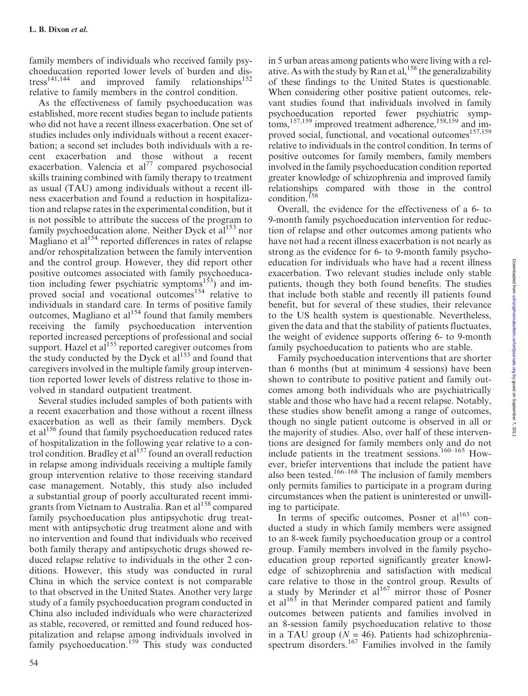family members of individuals who received family psychoeducation reported lower levels of burden and dis-<br>tress<sup>141,144</sup> and improved family relationships<sup>152</sup> and improved family relationships<sup>152</sup> relative to family members in the control condition.

As the effectiveness of family psychoeducation was established, more recent studies began to include patients who did not have a recent illness exacerbation. One set of studies includes only individuals without a recent exacerbation; a second set includes both individuals with a recent exacerbation and those without a recent exacerbation. Valencia et  $al^{77}$  compared psychosocial skills training combined with family therapy to treatment as usual (TAU) among individuals without a recent illness exacerbation and found a reduction in hospitalization and relapse rates in the experimental condition, but it is not possible to attribute the success of the program to family psychoeducation alone. Neither Dyck et  $al<sup>153</sup>$  nor Magliano et al<sup>154</sup> reported differences in rates of relapse and/or rehospitalization between the family intervention and the control group. However, they did report other positive outcomes associated with family psychoeducation including fewer psychiatric symptoms<sup>153</sup>) and improved social and vocational outcomes<sup>154</sup> relative to individuals in standard care. In terms of positive family outcomes, Magliano et al<sup>154</sup> found that family members receiving the family psychoeducation intervention reported increased perceptions of professional and social support. Hazel et  $a<sup>155</sup>$  reported caregiver outcomes from the study conducted by the Dyck et  $a1^{153}$  and found that caregivers involved in the multiple family group intervention reported lower levels of distress relative to those involved in standard outpatient treatment.

Several studies included samples of both patients with a recent exacerbation and those without a recent illness exacerbation as well as their family members. Dyck et al<sup>156</sup> found that family psychoeducation reduced rates of hospitalization in the following year relative to a control condition. Bradley et  $al^{157}$  found an overall reduction in relapse among individuals receiving a multiple family group intervention relative to those receiving standard case management. Notably, this study also included a substantial group of poorly acculturated recent immigrants from Vietnam to Australia. Ran et al<sup>158</sup> compared family psychoeducation plus antipsychotic drug treatment with antipsychotic drug treatment alone and with no intervention and found that individuals who received both family therapy and antipsychotic drugs showed reduced relapse relative to individuals in the other 2 conditions. However, this study was conducted in rural China in which the service context is not comparable to that observed in the United States. Another very large study of a family psychoeducation program conducted in China also included individuals who were characterized as stable, recovered, or remitted and found reduced hospitalization and relapse among individuals involved in family psychoeducation.159 This study was conducted in 5 urban areas among patients who were living with a relative. As with the study by Ran et al,  $158$  the generalizability of these findings to the United States is questionable. When considering other positive patient outcomes, relevant studies found that individuals involved in family psychoeducation reported fewer psychiatric symp $t$  toms,<sup>157,159</sup> improved treatment adherence,<sup>158,159</sup> and improved social, functional, and vocational outcomes<sup>157,159</sup> relative to individuals in the control condition. In terms of positive outcomes for family members, family members involved in the family psychoeducation condition reported greater knowledge of schizophrenia and improved family relationships compared with those in the control condition.158

Overall, the evidence for the effectiveness of a 6- to 9-month family psychoeducation intervention for reduction of relapse and other outcomes among patients who have not had a recent illness exacerbation is not nearly as strong as the evidence for 6- to 9-month family psychoeducation for individuals who have had a recent illness exacerbation. Two relevant studies include only stable patients, though they both found benefits. The studies that include both stable and recently ill patients found benefit, but for several of these studies, their relevance to the US health system is questionable. Nevertheless, given the data and that the stability of patients fluctuates, the weight of evidence supports offering 6- to 9-month family psychoeducation to patients who are stable.

Family psychoeducation interventions that are shorter than 6 months (but at minimum 4 sessions) have been shown to contribute to positive patient and family outcomes among both individuals who are psychiatrically stable and those who have had a recent relapse. Notably, these studies show benefit among a range of outcomes, though no single patient outcome is observed in all or the majority of studies. Also, over half of these interventions are designed for family members only and do not include patients in the treatment sessions.<sup>160–165</sup> However, briefer interventions that include the patient have also been tested.<sup>166–168</sup> The inclusion of family members only permits families to participate in a program during circumstances when the patient is uninterested or unwilling to participate.

In terms of specific outcomes, Posner et  $al^{163}$  conducted a study in which family members were assigned to an 8-week family psychoeducation group or a control group. Family members involved in the family psychoeducation group reported significantly greater knowledge of schizophrenia and satisfaction with medical care relative to those in the control group. Results of a study by Merinder et  $al^{167}$  mirror those of Posner et al $^{163}$  in that Merinder compared patient and family outcomes between patients and families involved in an 8-session family psychoeducation relative to those in a TAU group ( $N = 46$ ). Patients had schizophreniaspectrum disorders.<sup>167</sup> Families involved in the family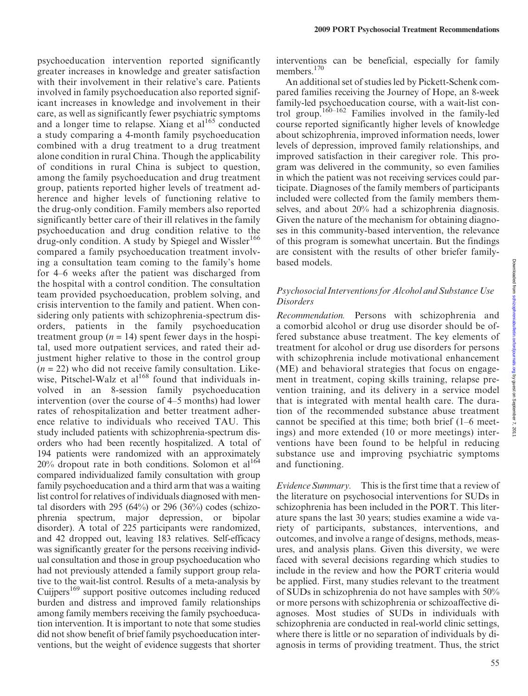psychoeducation intervention reported significantly greater increases in knowledge and greater satisfaction with their involvement in their relative's care. Patients involved in family psychoeducation also reported significant increases in knowledge and involvement in their care, as well as significantly fewer psychiatric symptoms and a longer time to relapse. Xiang et  $al^{165}$  conducted a study comparing a 4-month family psychoeducation combined with a drug treatment to a drug treatment alone condition in rural China. Though the applicability of conditions in rural China is subject to question, among the family psychoeducation and drug treatment group, patients reported higher levels of treatment adherence and higher levels of functioning relative to the drug-only condition. Family members also reported significantly better care of their ill relatives in the family psychoeducation and drug condition relative to the drug-only condition. A study by Spiegel and Wissler<sup>166</sup> compared a family psychoeducation treatment involving a consultation team coming to the family's home for 4–6 weeks after the patient was discharged from the hospital with a control condition. The consultation team provided psychoeducation, problem solving, and crisis intervention to the family and patient. When considering only patients with schizophrenia-spectrum disorders, patients in the family psychoeducation treatment group ( $n = 14$ ) spent fewer days in the hospital, used more outpatient services, and rated their adjustment higher relative to those in the control group  $(n = 22)$  who did not receive family consultation. Likewise, Pitschel-Walz et al $^{168}$  found that individuals involved in an 8-session family psychoeducation intervention (over the course of 4–5 months) had lower rates of rehospitalization and better treatment adherence relative to individuals who received TAU. This study included patients with schizophrenia-spectrum disorders who had been recently hospitalized. A total of 194 patients were randomized with an approximately  $20\%$  dropout rate in both conditions. Solomon et al<sup>164</sup> compared individualized family consultation with group family psychoeducation and a third arm that was a waiting list control for relatives of individuals diagnosed with mental disorders with 295 (64%) or 296 (36%) codes (schizophrenia spectrum, major depression, or bipolar disorder). A total of 225 participants were randomized, and 42 dropped out, leaving 183 relatives. Self-efficacy was significantly greater for the persons receiving individual consultation and those in group psychoeducation who had not previously attended a family support group relative to the wait-list control. Results of a meta-analysis by Cuijpers<sup>169</sup> support positive outcomes including reduced burden and distress and improved family relationships among family members receiving the family psychoeducation intervention. It is important to note that some studies did not show benefit of brief family psychoeducation interventions, but the weight of evidence suggests that shorter

interventions can be beneficial, especially for family members.<sup>170</sup>

An additional set of studies led by Pickett-Schenk compared families receiving the Journey of Hope, an 8-week family-led psychoeducation course, with a wait-list control group.160–162 Families involved in the family-led course reported significantly higher levels of knowledge about schizophrenia, improved information needs, lower levels of depression, improved family relationships, and improved satisfaction in their caregiver role. This program was delivered in the community, so even families in which the patient was not receiving services could participate. Diagnoses of the family members of participants included were collected from the family members themselves, and about 20% had a schizophrenia diagnosis. Given the nature of the mechanism for obtaining diagnoses in this community-based intervention, the relevance of this program is somewhat uncertain. But the findings are consistent with the results of other briefer familybased models.

## Psychosocial Interventions for Alcohol and Substance Use Disorders

Recommendation. Persons with schizophrenia and a comorbid alcohol or drug use disorder should be offered substance abuse treatment. The key elements of treatment for alcohol or drug use disorders for persons with schizophrenia include motivational enhancement (ME) and behavioral strategies that focus on engagement in treatment, coping skills training, relapse prevention training, and its delivery in a service model that is integrated with mental health care. The duration of the recommended substance abuse treatment cannot be specified at this time; both brief (1–6 meetings) and more extended (10 or more meetings) interventions have been found to be helpful in reducing substance use and improving psychiatric symptoms and functioning.

Evidence Summary. This is the first time that a review of the literature on psychosocial interventions for SUDs in schizophrenia has been included in the PORT. This literature spans the last 30 years; studies examine a wide variety of participants, substances, interventions, and outcomes, and involve a range of designs, methods, measures, and analysis plans. Given this diversity, we were faced with several decisions regarding which studies to include in the review and how the PORT criteria would be applied. First, many studies relevant to the treatment of SUDs in schizophrenia do not have samples with 50% or more persons with schizophrenia or schizoaffective diagnoses. Most studies of SUDs in individuals with schizophrenia are conducted in real-world clinic settings, where there is little or no separation of individuals by diagnosis in terms of providing treatment. Thus, the strict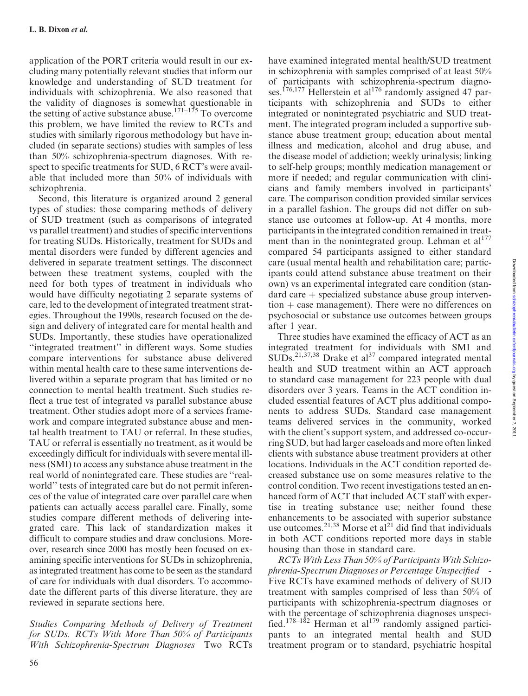application of the PORT criteria would result in our excluding many potentially relevant studies that inform our knowledge and understanding of SUD treatment for individuals with schizophrenia. We also reasoned that the validity of diagnoses is somewhat questionable in the setting of active substance abuse.<sup>171–175</sup> To overcome this problem, we have limited the review to RCTs and studies with similarly rigorous methodology but have included (in separate sections) studies with samples of less than 50% schizophrenia-spectrum diagnoses. With respect to specific treatments for SUD, 6 RCT's were available that included more than 50% of individuals with schizophrenia.

Second, this literature is organized around 2 general types of studies: those comparing methods of delivery of SUD treatment (such as comparisons of integrated vs parallel treatment) and studies of specific interventions for treating SUDs. Historically, treatment for SUDs and mental disorders were funded by different agencies and delivered in separate treatment settings. The disconnect between these treatment systems, coupled with the need for both types of treatment in individuals who would have difficulty negotiating 2 separate systems of care, led to the development of integrated treatment strategies. Throughout the 1990s, research focused on the design and delivery of integrated care for mental health and SUDs. Importantly, these studies have operationalized "integrated treatment" in different ways. Some studies compare interventions for substance abuse delivered within mental health care to these same interventions delivered within a separate program that has limited or no connection to mental health treatment. Such studies reflect a true test of integrated vs parallel substance abuse treatment. Other studies adopt more of a services framework and compare integrated substance abuse and mental health treatment to TAU or referral. In these studies, TAU or referral is essentially no treatment, as it would be exceedingly difficult for individuals with severe mental illness (SMI) to access any substance abuse treatment in the real world of nonintegrated care. These studies are ''realworld'' tests of integrated care but do not permit inferences of the value of integrated care over parallel care when patients can actually access parallel care. Finally, some studies compare different methods of delivering integrated care. This lack of standardization makes it difficult to compare studies and draw conclusions. Moreover, research since 2000 has mostly been focused on examining specific interventions for SUDs in schizophrenia, as integrated treatment has come to be seen as the standard of care for individuals with dual disorders. To accommodate the different parts of this diverse literature, they are reviewed in separate sections here.

Studies Comparing Methods of Delivery of Treatment for SUDs. RCTs With More Than 50% of Participants With Schizophrenia-Spectrum Diagnoses Two RCTs have examined integrated mental health/SUD treatment in schizophrenia with samples comprised of at least 50% of participants with schizophrenia-spectrum diagnoses.<sup>176,177</sup> Hellerstein et al<sup>176</sup> randomly assigned 47 participants with schizophrenia and SUDs to either integrated or nonintegrated psychiatric and SUD treatment. The integrated program included a supportive substance abuse treatment group; education about mental illness and medication, alcohol and drug abuse, and the disease model of addiction; weekly urinalysis; linking to self-help groups; monthly medication management or more if needed; and regular communication with clinicians and family members involved in participants' care. The comparison condition provided similar services in a parallel fashion. The groups did not differ on substance use outcomes at follow-up. At 4 months, more participants in the integrated condition remained in treatment than in the nonintegrated group. Lehman et  $al<sup>177</sup>$ compared 54 participants assigned to either standard care (usual mental health and rehabilitation care; participants could attend substance abuse treatment on their own) vs an experimental integrated care condition (stan $d$ ard care  $+$  specialized substance abuse group interven $tion + case management$ ). There were no differences on psychosocial or substance use outcomes between groups after 1 year.

Three studies have examined the efficacy of ACT as an integrated treatment for individuals with SMI and  $SU\overline{D}s$ .<sup>21,37,38</sup> Drake et al<sup>37</sup> compared integrated mental health and SUD treatment within an ACT approach to standard case management for 223 people with dual disorders over 3 years. Teams in the ACT condition included essential features of ACT plus additional components to address SUDs. Standard case management teams delivered services in the community, worked with the client's support system, and addressed co-occurring SUD, but had larger caseloads and more often linked clients with substance abuse treatment providers at other locations. Individuals in the ACT condition reported decreased substance use on some measures relative to the control condition. Two recent investigations tested an enhanced form of ACT that included ACT staff with expertise in treating substance use; neither found these enhancements to be associated with superior substance use outcomes.<sup>21,38</sup> Morse et al<sup>21</sup> did find that individuals in both ACT conditions reported more days in stable housing than those in standard care.

RCTs With Less Than 50% of Participants With Schizophrenia-Spectrum Diagnoses or Percentage Unspecified - Five RCTs have examined methods of delivery of SUD treatment with samples comprised of less than 50% of participants with schizophrenia-spectrum diagnoses or with the percentage of schizophrenia diagnoses unspecified.<sup>178–182</sup> Herman et al<sup>179</sup> randomly assigned participants to an integrated mental health and SUD treatment program or to standard, psychiatric hospital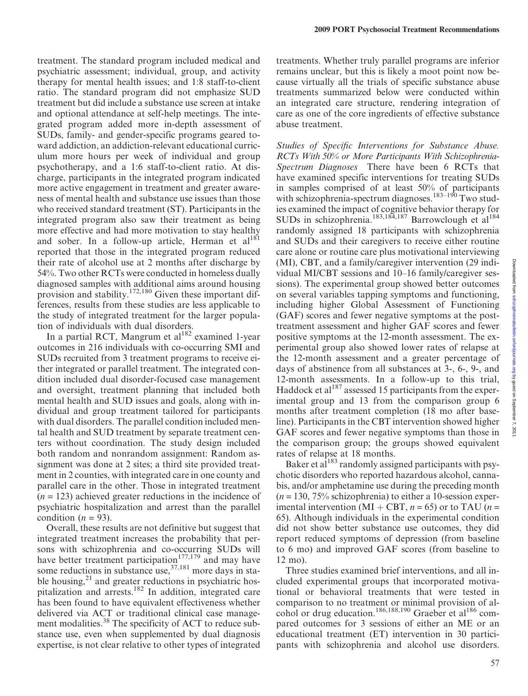treatment. The standard program included medical and psychiatric assessment; individual, group, and activity therapy for mental health issues; and 1:8 staff-to-client ratio. The standard program did not emphasize SUD treatment but did include a substance use screen at intake and optional attendance at self-help meetings. The integrated program added more in-depth assessment of SUDs, family- and gender-specific programs geared toward addiction, an addiction-relevant educational curriculum more hours per week of individual and group psychotherapy, and a 1:6 staff-to-client ratio. At discharge, participants in the integrated program indicated more active engagement in treatment and greater awareness of mental health and substance use issues than those who received standard treatment (ST). Participants in the integrated program also saw their treatment as being more effective and had more motivation to stay healthy and sober. In a follow-up article, Herman et  $al^{181}$ reported that those in the integrated program reduced their rate of alcohol use at 2 months after discharge by 54%. Two other RCTs were conducted in homeless dually diagnosed samples with additional aims around housing provision and stability.172,180 Given these important differences, results from these studies are less applicable to the study of integrated treatment for the larger population of individuals with dual disorders.

In a partial RCT, Mangrum et  $al^{182}$  examined 1-year outcomes in 216 individuals with co-occurring SMI and SUDs recruited from 3 treatment programs to receive either integrated or parallel treatment. The integrated condition included dual disorder-focused case management and oversight, treatment planning that included both mental health and SUD issues and goals, along with individual and group treatment tailored for participants with dual disorders. The parallel condition included mental health and SUD treatment by separate treatment centers without coordination. The study design included both random and nonrandom assignment: Random assignment was done at 2 sites; a third site provided treatment in 2 counties, with integrated care in one county and parallel care in the other. Those in integrated treatment  $(n = 123)$  achieved greater reductions in the incidence of psychiatric hospitalization and arrest than the parallel condition ( $n = 93$ ).

Overall, these results are not definitive but suggest that integrated treatment increases the probability that persons with schizophrenia and co-occurring SUDs will have better treatment participation<sup>177,179</sup> and may have some reductions in substance use,  $37,181$  more days in stable housing,<sup>21</sup> and greater reductions in psychiatric hospitalization and arrests.182 In addition, integrated care has been found to have equivalent effectiveness whether delivered via ACT or traditional clinical case management modalities.<sup>38</sup> The specificity of ACT to reduce substance use, even when supplemented by dual diagnosis expertise, is not clear relative to other types of integrated

treatments. Whether truly parallel programs are inferior remains unclear, but this is likely a moot point now because virtually all the trials of specific substance abuse treatments summarized below were conducted within an integrated care structure, rendering integration of care as one of the core ingredients of effective substance abuse treatment.

Studies of Specific Interventions for Substance Abuse. RCTs With 50% or More Participants With Schizophrenia-Spectrum Diagnoses There have been 6 RCTs that have examined specific interventions for treating SUDs in samples comprised of at least 50% of participants with schizophrenia-spectrum diagnoses.<sup>183–190</sup> Two studies examined the impact of cognitive behavior therapy for SUDs in schizophrenia.<sup>183,184</sup>,187 Barrowclough et al<sup>184</sup> randomly assigned 18 participants with schizophrenia and SUDs and their caregivers to receive either routine care alone or routine care plus motivational interviewing (MI), CBT, and a family/caregiver intervention (29 individual MI/CBT sessions and 10–16 family/caregiver sessions). The experimental group showed better outcomes on several variables tapping symptoms and functioning, including higher Global Assessment of Functioning (GAF) scores and fewer negative symptoms at the posttreatment assessment and higher GAF scores and fewer positive symptoms at the 12-month assessment. The experimental group also showed lower rates of relapse at the 12-month assessment and a greater percentage of days of abstinence from all substances at 3-, 6-, 9-, and 12-month assessments. In a follow-up to this trial, Haddock et  $al^{187}$  assessed 15 participants from the experimental group and 13 from the comparison group 6 months after treatment completion (18 mo after baseline). Participants in the CBT intervention showed higher GAF scores and fewer negative symptoms than those in the comparison group; the groups showed equivalent rates of relapse at 18 months.

Baker et al<sup>183</sup> randomly assigned participants with psychotic disorders who reported hazardous alcohol, cannabis, and/or amphetamine use during the preceding month  $(n = 130, 75\%$  schizophrenia) to either a 10-session experimental intervention (MI + CBT,  $n = 65$ ) or to TAU ( $n =$ 65). Although individuals in the experimental condition did not show better substance use outcomes, they did report reduced symptoms of depression (from baseline to 6 mo) and improved GAF scores (from baseline to 12 mo).

Three studies examined brief interventions, and all included experimental groups that incorporated motivational or behavioral treatments that were tested in comparison to no treatment or minimal provision of alcohol or drug education.<sup>186,188,190</sup> Graeber et al<sup>186</sup> compared outcomes for 3 sessions of either an ME or an educational treatment (ET) intervention in 30 participants with schizophrenia and alcohol use disorders.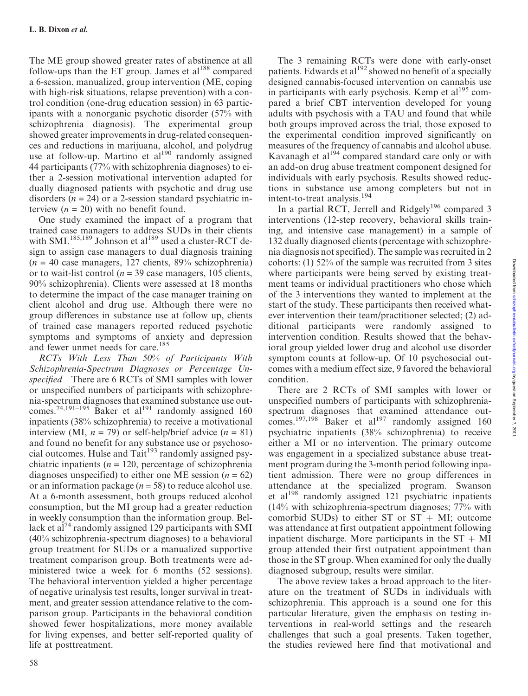The ME group showed greater rates of abstinence at all follow-ups than the ET group. James et  $al^{188}$  compared a 6-session, manualized, group intervention (ME, coping with high-risk situations, relapse prevention) with a control condition (one-drug education session) in 63 participants with a nonorganic psychotic disorder (57% with schizophrenia diagnosis). The experimental group showed greater improvements in drug-related consequences and reductions in marijuana, alcohol, and polydrug use at follow-up. Martino et  $al^{190}$  randomly assigned 44 participants (77% with schizophrenia diagnoses) to either a 2-session motivational intervention adapted for dually diagnosed patients with psychotic and drug use disorders ( $n = 24$ ) or a 2-session standard psychiatric interview  $(n = 20)$  with no benefit found.

One study examined the impact of a program that trained case managers to address SUDs in their clients with SMI.<sup>185,189</sup> Johnson et al<sup>189</sup> used a cluster-RCT design to assign case managers to dual diagnosis training  $(n = 40 \text{ case managers}, 127 \text{ clients}, 89\% \text{ schizophrenia})$ or to wait-list control ( $n = 39$  case managers, 105 clients, 90% schizophrenia). Clients were assessed at 18 months to determine the impact of the case manager training on client alcohol and drug use. Although there were no group differences in substance use at follow up, clients of trained case managers reported reduced psychotic symptoms and symptoms of anxiety and depression and fewer unmet needs for care.<sup>185</sup>

RCTs With Less Than 50% of Participants With Schizophrenia-Spectrum Diagnoses or Percentage Unspecified There are 6 RCTs of SMI samples with lower or unspecified numbers of participants with schizophrenia-spectrum diagnoses that examined substance use outcomes.<sup>74,191–195</sup> Baker et al<sup>191</sup> randomly assigned 160 inpatients (38% schizophrenia) to receive a motivational interview (MI,  $n = 79$ ) or self-help/brief advice  $(n = 81)$ and found no benefit for any substance use or psychosocial outcomes. Hulse and  $Tait^{193}$  randomly assigned psychiatric inpatients ( $n = 120$ , percentage of schizophrenia diagnoses unspecified) to either one ME session  $(n = 62)$ or an information package  $(n = 58)$  to reduce alcohol use. At a 6-month assessment, both groups reduced alcohol consumption, but the MI group had a greater reduction in weekly consumption than the information group. Bellack et al<sup>74</sup> randomly assigned 129 participants with SMI (40% schizophrenia-spectrum diagnoses) to a behavioral group treatment for SUDs or a manualized supportive treatment comparison group. Both treatments were administered twice a week for 6 months (52 sessions). The behavioral intervention yielded a higher percentage of negative urinalysis test results, longer survival in treatment, and greater session attendance relative to the comparison group. Participants in the behavioral condition showed fewer hospitalizations, more money available for living expenses, and better self-reported quality of life at posttreatment.

The 3 remaining RCTs were done with early-onset patients. Edwards et al<sup>192</sup> showed no benefit of a specially designed cannabis-focused intervention on cannabis use in participants with early psychosis. Kemp et  $al^{195}$  compared a brief CBT intervention developed for young adults with psychosis with a TAU and found that while both groups improved across the trial, those exposed to the experimental condition improved significantly on measures of the frequency of cannabis and alcohol abuse. Kavanagh et al $194$  compared standard care only or with an add-on drug abuse treatment component designed for individuals with early psychosis. Results showed reductions in substance use among completers but not in intent-to-treat analysis.194

In a partial RCT, Jerrell and Ridgely<sup>196</sup> compared 3 interventions (12-step recovery, behavioral skills training, and intensive case management) in a sample of 132 dually diagnosed clients (percentage with schizophrenia diagnosis not specified). The sample was recruited in 2 cohorts: (1) 52% of the sample was recruited from 3 sites where participants were being served by existing treatment teams or individual practitioners who chose which of the 3 interventions they wanted to implement at the start of the study. These participants then received whatever intervention their team/practitioner selected; (2) additional participants were randomly assigned to intervention condition. Results showed that the behavioral group yielded lower drug and alcohol use disorder symptom counts at follow-up. Of 10 psychosocial outcomes with a medium effect size, 9 favored the behavioral condition.

There are 2 RCTs of SMI samples with lower or unspecified numbers of participants with schizophreniaspectrum diagnoses that examined attendance outcomes.<sup>197,198</sup> Baker et al<sup>197</sup> randomly assigned 160 psychiatric inpatients (38% schizophrenia) to receive either a MI or no intervention. The primary outcome was engagement in a specialized substance abuse treatment program during the 3-month period following inpatient admission. There were no group differences in attendance at the specialized program. Swanson et al $198$  randomly assigned 121 psychiatric inpatients (14% with schizophrenia-spectrum diagnoses; 77% with comorbid SUDs) to either ST or  $ST + MI$ ; outcome was attendance at first outpatient appointment following inpatient discharge. More participants in the  $ST + MI$ group attended their first outpatient appointment than those in the ST group. When examined for only the dually diagnosed subgroup, results were similar.

The above review takes a broad approach to the literature on the treatment of SUDs in individuals with schizophrenia. This approach is a sound one for this particular literature, given the emphasis on testing interventions in real-world settings and the research challenges that such a goal presents. Taken together, the studies reviewed here find that motivational and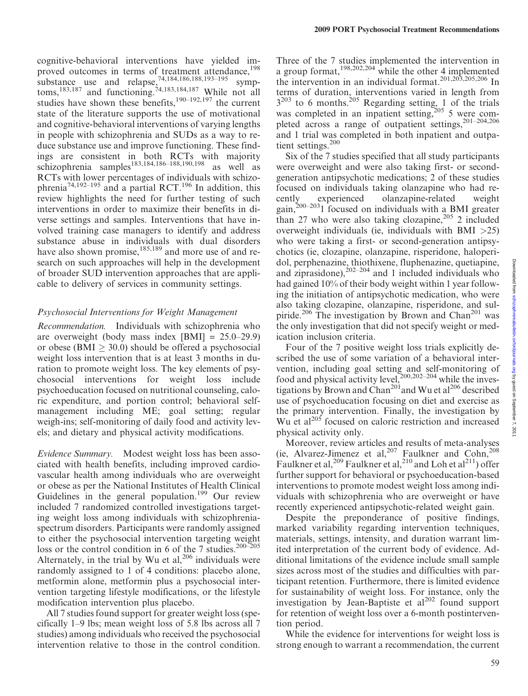cognitive-behavioral interventions have yielded improved outcomes in terms of treatment attendance,<sup>198</sup> substance use and relapse,  $74,184,186,188,193-195$  symptoms,<sup>183,187</sup> and functioning.<sup>74,183,184,187</sup> While not all studies have shown these benefits,<sup>190–192,197</sup> the current state of the literature supports the use of motivational and cognitive-behavioral interventions of varying lengths in people with schizophrenia and SUDs as a way to reduce substance use and improve functioning. These findings are consistent in both RCTs with majority schizophrenia samples<sup>183,184,186–188,190,198</sup> as well as RCTs with lower percentages of individuals with schizophrenia<sup>74,192–195</sup> and a partial RCT.<sup>196</sup> In addition, this review highlights the need for further testing of such interventions in order to maximize their benefits in diverse settings and samples. Interventions that have involved training case managers to identify and address substance abuse in individuals with dual disorders have also shown promise,  $^{185,189}$  and more use of and research on such approaches will help in the development of broader SUD intervention approaches that are applicable to delivery of services in community settings.

#### Psychosocial Interventions for Weight Management

Recommendation. Individuals with schizophrenia who are overweight (body mass index [BMI] = 25.0–29.9) or obese (BMI  $> 30.0$ ) should be offered a psychosocial weight loss intervention that is at least 3 months in duration to promote weight loss. The key elements of psychosocial interventions for weight loss include psychoeducation focused on nutritional counseling, caloric expenditure, and portion control; behavioral selfmanagement including ME; goal setting; regular weigh-ins; self-monitoring of daily food and activity levels; and dietary and physical activity modifications.

Evidence Summary. Modest weight loss has been associated with health benefits, including improved cardiovascular health among individuals who are overweight or obese as per the National Institutes of Health Clinical Guidelines in the general population.<sup>199</sup> Our review included 7 randomized controlled investigations targeting weight loss among individuals with schizophreniaspectrum disorders. Participants were randomly assigned to either the psychosocial intervention targeting weight loss or the control condition in 6 of the 7 studies.<sup>200–205</sup> Alternately, in the trial by Wu et al,  $^{206}$  individuals were randomly assigned to 1 of 4 conditions: placebo alone, metformin alone, metformin plus a psychosocial intervention targeting lifestyle modifications, or the lifestyle modification intervention plus placebo.

All 7 studies found support for greater weight loss (specifically 1–9 lbs; mean weight loss of 5.8 lbs across all 7 studies) among individuals who received the psychosocial intervention relative to those in the control condition.

Three of the 7 studies implemented the intervention in a group format,  $198,202,204$  while the other 4 implemented the intervention in an individual format.<sup>201,203,205,206</sup> In terms of duration, interventions varied in length from  $3^{203}$  to 6 months.<sup>205</sup> Regarding setting, 1 of the trials was completed in an inpatient setting, $205$  5 were completed across a range of outpatient settings,<sup>201-204,206</sup> and 1 trial was completed in both inpatient and outpatient settings.<sup>200</sup>

Six of the 7 studies specified that all study participants were overweight and were also taking first- or secondgeneration antipsychotic medications; 2 of these studies focused on individuals taking olanzapine who had recently experienced olanzapine-related weight gain, $200-2031$  focused on individuals with a BMI greater than 27 who were also taking clozapine,  $205$  2 included overweight individuals (ie, individuals with BMI >25) who were taking a first- or second-generation antipsychotics (ie, clozapine, olanzapine, risperidone, haloperidol, perphenazine, thiothixene, fluphenazine, quetiapine, and ziprasidone), $^{202-204}$  and 1 included individuals who had gained 10% of their body weight within 1 year following the initiation of antipsychotic medication, who were also taking clozapine, olanzapine, risperidone, and sulpiride.<sup>206</sup> The investigation by Brown and Chan<sup>201</sup> was the only investigation that did not specify weight or medication inclusion criteria.

Four of the 7 positive weight loss trials explicitly described the use of some variation of a behavioral intervention, including goal setting and self-monitoring of food and physical activity level, $200,202-204$  while the investigations by Brown and Chan<sup>201</sup> and Wu et al<sup>206</sup> described use of psychoeducation focusing on diet and exercise as the primary intervention. Finally, the investigation by Wu et  $al^{205}$  focused on caloric restriction and increased physical activity only.

Moreover, review articles and results of meta-analyses (ie, Alvarez-Jimenez et al,<sup>207</sup> Faulkner and Cohn,<sup>208</sup> Faulkner et al,  $209$  Faulkner et al,  $210$  and Loh et al<sup>211</sup>) offer further support for behavioral or psychoeducation-based interventions to promote modest weight loss among individuals with schizophrenia who are overweight or have recently experienced antipsychotic-related weight gain.

Despite the preponderance of positive findings, marked variability regarding intervention techniques, materials, settings, intensity, and duration warrant limited interpretation of the current body of evidence. Additional limitations of the evidence include small sample sizes across most of the studies and difficulties with participant retention. Furthermore, there is limited evidence for sustainability of weight loss. For instance, only the investigation by Jean-Baptiste et  $al^{202}$  found support for retention of weight loss over a 6-month postintervention period.

While the evidence for interventions for weight loss is strong enough to warrant a recommendation, the current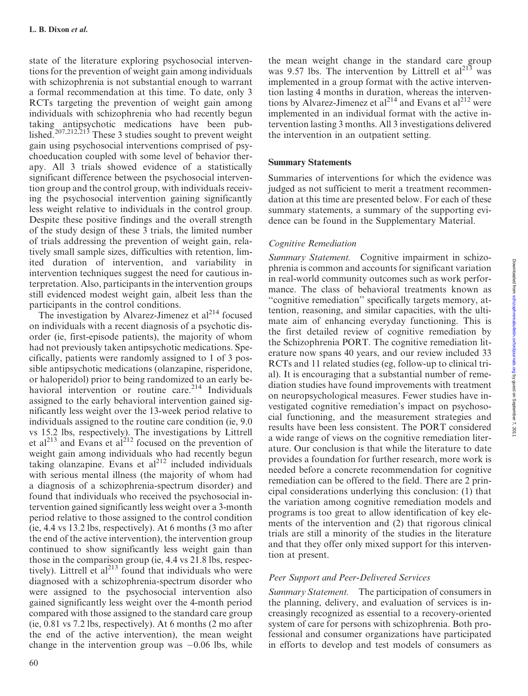state of the literature exploring psychosocial interventions for the prevention of weight gain among individuals with schizophrenia is not substantial enough to warrant a formal recommendation at this time. To date, only 3 RCTs targeting the prevention of weight gain among individuals with schizophrenia who had recently begun taking antipsychotic medications have been published.<sup>207,212,213</sup> These 3 studies sought to prevent weight gain using psychosocial interventions comprised of psychoeducation coupled with some level of behavior therapy. All 3 trials showed evidence of a statistically significant difference between the psychosocial intervention group and the control group, with individuals receiving the psychosocial intervention gaining significantly less weight relative to individuals in the control group. Despite these positive findings and the overall strength of the study design of these 3 trials, the limited number of trials addressing the prevention of weight gain, relatively small sample sizes, difficulties with retention, limited duration of intervention, and variability in intervention techniques suggest the need for cautious interpretation. Also, participants in the intervention groups still evidenced modest weight gain, albeit less than the participants in the control conditions.

The investigation by Alvarez-Jimenez et  $al<sup>214</sup>$  focused on individuals with a recent diagnosis of a psychotic disorder (ie, first-episode patients), the majority of whom had not previously taken antipsychotic medications. Specifically, patients were randomly assigned to 1 of 3 possible antipsychotic medications (olanzapine, risperidone, or haloperidol) prior to being randomized to an early behavioral intervention or routine care.<sup>214</sup> Individuals assigned to the early behavioral intervention gained significantly less weight over the 13-week period relative to individuals assigned to the routine care condition (ie, 9.0 vs 15.2 lbs, respectively). The investigations by Littrell et al<sup>213</sup> and Evans et al<sup>212</sup> focused on the prevention of weight gain among individuals who had recently begun taking olanzapine. Evans et  $al^{212}$  included individuals with serious mental illness (the majority of whom had a diagnosis of a schizophrenia-spectrum disorder) and found that individuals who received the psychosocial intervention gained significantly less weight over a 3-month period relative to those assigned to the control condition (ie, 4.4 vs 13.2 lbs, respectively). At 6 months (3 mo after the end of the active intervention), the intervention group continued to show significantly less weight gain than those in the comparison group (ie, 4.4 vs 21.8 lbs, respectively). Littrell et  $al^{213}$  found that individuals who were diagnosed with a schizophrenia-spectrum disorder who were assigned to the psychosocial intervention also gained significantly less weight over the 4-month period compared with those assigned to the standard care group (ie, 0.81 vs 7.2 lbs, respectively). At 6 months (2 mo after the end of the active intervention), the mean weight change in the intervention group was  $-0.06$  lbs, while

the mean weight change in the standard care group was 9.57 lbs. The intervention by Littrell et  $al^{213}$  was implemented in a group format with the active intervention lasting 4 months in duration, whereas the interventions by Alvarez-Jimenez et  $al^{214}$  and Evans et  $al^{212}$  were implemented in an individual format with the active intervention lasting 3 months. All 3 investigations delivered the intervention in an outpatient setting.

## Summary Statements

Summaries of interventions for which the evidence was judged as not sufficient to merit a treatment recommendation at this time are presented below. For each of these summary statements, a summary of the supporting evidence can be found in the Supplementary Material.

# Cognitive Remediation

Summary Statement. Cognitive impairment in schizophrenia is common and accounts for significant variation in real-world community outcomes such as work performance. The class of behavioral treatments known as ''cognitive remediation'' specifically targets memory, attention, reasoning, and similar capacities, with the ultimate aim of enhancing everyday functioning. This is the first detailed review of cognitive remediation by the Schizophrenia PORT. The cognitive remediation literature now spans 40 years, and our review included 33 RCTs and 11 related studies (eg, follow-up to clinical trial). It is encouraging that a substantial number of remediation studies have found improvements with treatment on neuropsychological measures. Fewer studies have investigated cognitive remediation's impact on psychosocial functioning, and the measurement strategies and results have been less consistent. The PORT considered a wide range of views on the cognitive remediation literature. Our conclusion is that while the literature to date provides a foundation for further research, more work is needed before a concrete recommendation for cognitive remediation can be offered to the field. There are 2 principal considerations underlying this conclusion: (1) that the variation among cognitive remediation models and programs is too great to allow identification of key elements of the intervention and (2) that rigorous clinical trials are still a minority of the studies in the literature and that they offer only mixed support for this intervention at present.

#### Peer Support and Peer-Delivered Services

Summary Statement. The participation of consumers in the planning, delivery, and evaluation of services is increasingly recognized as essential to a recovery-oriented system of care for persons with schizophrenia. Both professional and consumer organizations have participated in efforts to develop and test models of consumers as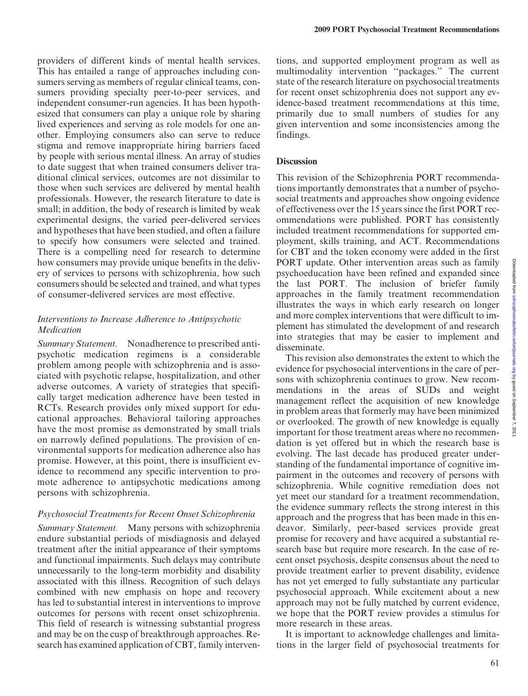providers of different kinds of mental health services. This has entailed a range of approaches including consumers serving as members of regular clinical teams, consumers providing specialty peer-to-peer services, and independent consumer-run agencies. It has been hypothesized that consumers can play a unique role by sharing lived experiences and serving as role models for one another. Employing consumers also can serve to reduce stigma and remove inappropriate hiring barriers faced by people with serious mental illness. An array of studies to date suggest that when trained consumers deliver traditional clinical services, outcomes are not dissimilar to those when such services are delivered by mental health professionals. However, the research literature to date is small; in addition, the body of research is limited by weak experimental designs, the varied peer-delivered services and hypotheses that have been studied, and often a failure to specify how consumers were selected and trained. There is a compelling need for research to determine how consumers may provide unique benefits in the delivery of services to persons with schizophrenia, how such consumers should be selected and trained, and what types of consumer-delivered services are most effective.

# Interventions to Increase Adherence to Antipsychotic Medication

Summary Statement. Nonadherence to prescribed antipsychotic medication regimens is a considerable problem among people with schizophrenia and is associated with psychotic relapse, hospitalization, and other adverse outcomes. A variety of strategies that specifically target medication adherence have been tested in RCTs. Research provides only mixed support for educational approaches. Behavioral tailoring approaches have the most promise as demonstrated by small trials on narrowly defined populations. The provision of environmental supports for medication adherence also has promise. However, at this point, there is insufficient evidence to recommend any specific intervention to promote adherence to antipsychotic medications among persons with schizophrenia.

#### Psychosocial Treatments for Recent Onset Schizophrenia

Summary Statement. Many persons with schizophrenia endure substantial periods of misdiagnosis and delayed treatment after the initial appearance of their symptoms and functional impairments. Such delays may contribute unnecessarily to the long-term morbidity and disability associated with this illness. Recognition of such delays combined with new emphasis on hope and recovery has led to substantial interest in interventions to improve outcomes for persons with recent onset schizophrenia. This field of research is witnessing substantial progress and may be on the cusp of breakthrough approaches. Research has examined application of CBT, family interventions, and supported employment program as well as multimodality intervention ''packages.'' The current state of the research literature on psychosocial treatments for recent onset schizophrenia does not support any evidence-based treatment recommendations at this time, primarily due to small numbers of studies for any given intervention and some inconsistencies among the findings.

## **Discussion**

This revision of the Schizophrenia PORT recommendations importantly demonstrates that a number of psychosocial treatments and approaches show ongoing evidence of effectiveness over the 15 years since the first PORT recommendations were published. PORT has consistently included treatment recommendations for supported employment, skills training, and ACT. Recommendations for CBT and the token economy were added in the first PORT update. Other intervention areas such as family psychoeducation have been refined and expanded since the last PORT. The inclusion of briefer family approaches in the family treatment recommendation illustrates the ways in which early research on longer and more complex interventions that were difficult to implement has stimulated the development of and research into strategies that may be easier to implement and disseminate.

This revision also demonstrates the extent to which the evidence for psychosocial interventions in the care of persons with schizophrenia continues to grow. New recommendations in the areas of SUDs and weight management reflect the acquisition of new knowledge in problem areas that formerly may have been minimized or overlooked. The growth of new knowledge is equally important for those treatment areas where no recommendation is yet offered but in which the research base is evolving. The last decade has produced greater understanding of the fundamental importance of cognitive impairment in the outcomes and recovery of persons with schizophrenia. While cognitive remediation does not yet meet our standard for a treatment recommendation, the evidence summary reflects the strong interest in this approach and the progress that has been made in this endeavor. Similarly, peer-based services provide great promise for recovery and have acquired a substantial research base but require more research. In the case of recent onset psychosis, despite consensus about the need to provide treatment earlier to prevent disability, evidence has not yet emerged to fully substantiate any particular psychosocial approach. While excitement about a new approach may not be fully matched by current evidence, we hope that the PORT review provides a stimulus for more research in these areas.

It is important to acknowledge challenges and limitations in the larger field of psychosocial treatments for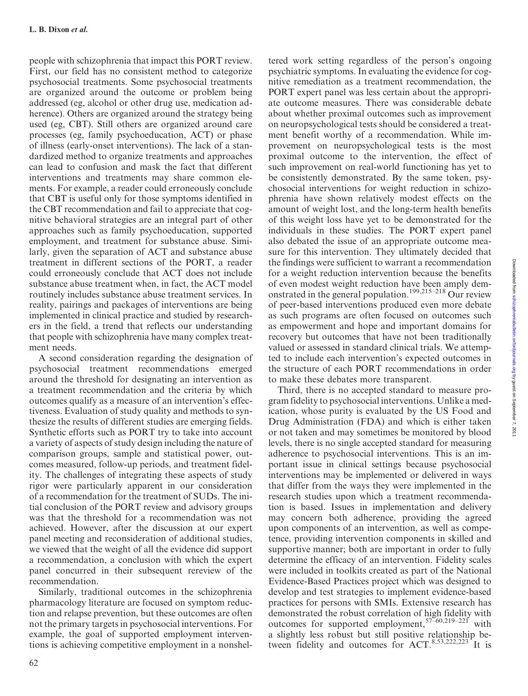people with schizophrenia that impact this PORT review. First, our field has no consistent method to categorize psychosocial treatments. Some psychosocial treatments are organized around the outcome or problem being addressed (eg, alcohol or other drug use, medication adherence). Others are organized around the strategy being used (eg, CBT). Still others are organized around care processes (eg, family psychoeducation, ACT) or phase of illness (early-onset interventions). The lack of a standardized method to organize treatments and approaches can lead to confusion and mask the fact that different interventions and treatments may share common elements. For example, a reader could erroneously conclude that CBT is useful only for those symptoms identified in the CBT recommendation and fail to appreciate that cognitive behavioral strategies are an integral part of other approaches such as family psychoeducation, supported employment, and treatment for substance abuse. Similarly, given the separation of ACT and substance abuse treatment in different sections of the PORT, a reader could erroneously conclude that ACT does not include substance abuse treatment when, in fact, the ACT model routinely includes substance abuse treatment services. In reality, pairings and packages of interventions are being implemented in clinical practice and studied by researchers in the field, a trend that reflects our understanding that people with schizophrenia have many complex treatment needs.

A second consideration regarding the designation of psychosocial treatment recommendations emerged around the threshold for designating an intervention as a treatment recommendation and the criteria by which outcomes qualify as a measure of an intervention's effectiveness. Evaluation of study quality and methods to synthesize the results of different studies are emerging fields. Synthetic efforts such as PORT try to take into account a variety of aspects of study design including the nature of comparison groups, sample and statistical power, outcomes measured, follow-up periods, and treatment fidelity. The challenges of integrating these aspects of study rigor were particularly apparent in our consideration of a recommendation for the treatment of SUDs. The initial conclusion of the PORT review and advisory groups was that the threshold for a recommendation was not achieved. However, after the discussion at our expert panel meeting and reconsideration of additional studies, we viewed that the weight of all the evidence did support a recommendation, a conclusion with which the expert panel concurred in their subsequent rereview of the recommendation.

Similarly, traditional outcomes in the schizophrenia pharmacology literature are focused on symptom reduction and relapse prevention, but these outcomes are often not the primary targets in psychosocial interventions. For example, the goal of supported employment interventions is achieving competitive employment in a nonshel-

tered work setting regardless of the person's ongoing psychiatric symptoms. In evaluating the evidence for cognitive remediation as a treatment recommendation, the PORT expert panel was less certain about the appropriate outcome measures. There was considerable debate about whether proximal outcomes such as improvement on neuropsychological tests should be considered a treatment benefit worthy of a recommendation. While improvement on neuropsychological tests is the most proximal outcome to the intervention, the effect of such improvement on real-world functioning has yet to be consistently demonstrated. By the same token, psychosocial interventions for weight reduction in schizophrenia have shown relatively modest effects on the amount of weight lost, and the long-term health benefits of this weight loss have yet to be demonstrated for the individuals in these studies. The PORT expert panel also debated the issue of an appropriate outcome measure for this intervention. They ultimately decided that the findings were sufficient to warrant a recommendation for a weight reduction intervention because the benefits of even modest weight reduction have been amply demonstrated in the general population.199,215–218 Our review of peer-based interventions produced even more debate as such programs are often focused on outcomes such as empowerment and hope and important domains for recovery but outcomes that have not been traditionally valued or assessed in standard clinical trials. We attempted to include each intervention's expected outcomes in the structure of each PORT recommendations in order to make these debates more transparent.

Third, there is no accepted standard to measure program fidelity to psychosocial interventions. Unlike a medication, whose purity is evaluated by the US Food and Drug Administration (FDA) and which is either taken or not taken and may sometimes be monitored by blood levels, there is no single accepted standard for measuring adherence to psychosocial interventions. This is an important issue in clinical settings because psychosocial interventions may be implemented or delivered in ways that differ from the ways they were implemented in the research studies upon which a treatment recommendation is based. Issues in implementation and delivery may concern both adherence, providing the agreed upon components of an intervention, as well as competence, providing intervention components in skilled and supportive manner; both are important in order to fully determine the efficacy of an intervention. Fidelity scales were included in toolkits created as part of the National Evidence-Based Practices project which was designed to develop and test strategies to implement evidence-based practices for persons with SMIs. Extensive research has demonstrated the robust correlation of high fidelity with outcomes for supported employment,<sup>57–60,219–221</sup> with a slightly less robust but still positive relationship between fidelity and outcomes for ACT.<sup>8,53,222,223</sup> It is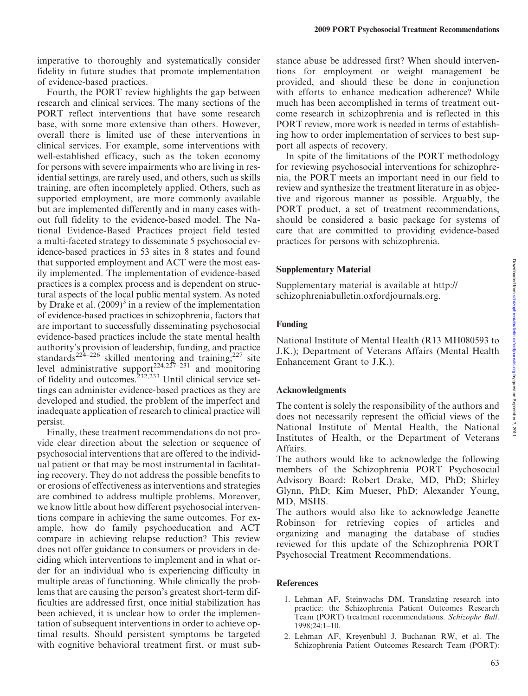imperative to thoroughly and systematically consider fidelity in future studies that promote implementation of evidence-based practices.

Fourth, the PORT review highlights the gap between research and clinical services. The many sections of the PORT reflect interventions that have some research base, with some more extensive than others. However, overall there is limited use of these interventions in clinical services. For example, some interventions with well-established efficacy, such as the token economy for persons with severe impairments who are living in residential settings, are rarely used, and others, such as skills training, are often incompletely applied. Others, such as supported employment, are more commonly available but are implemented differently and in many cases without full fidelity to the evidence-based model. The National Evidence-Based Practices project field tested a multi-faceted strategy to disseminate 5 psychosocial evidence-based practices in 53 sites in 8 states and found that supported employment and ACT were the most easily implemented. The implementation of evidence-based practices is a complex process and is dependent on structural aspects of the local public mental system. As noted by Drake et al.  $(2009)^3$  in a review of the implementation of evidence-based practices in schizophrenia, factors that are important to successfully disseminating psychosocial evidence-based practices include the state mental health authority's provision of leadership, funding, and practice standards<sup>224–226</sup> skilled mentoring and training;<sup>227</sup> site level administrative support<sup>224,227–231</sup> and monitoring of fidelity and outcomes.232,233 Until clinical service settings can administer evidence-based practices as they are developed and studied, the problem of the imperfect and inadequate application of research to clinical practice will persist.

Finally, these treatment recommendations do not provide clear direction about the selection or sequence of psychosocial interventions that are offered to the individual patient or that may be most instrumental in facilitating recovery. They do not address the possible benefits to or erosions of effectiveness as interventions and strategies are combined to address multiple problems. Moreover, we know little about how different psychosocial interventions compare in achieving the same outcomes. For example, how do family psychoeducation and ACT compare in achieving relapse reduction? This review does not offer guidance to consumers or providers in deciding which interventions to implement and in what order for an individual who is experiencing difficulty in multiple areas of functioning. While clinically the problems that are causing the person's greatest short-term difficulties are addressed first, once initial stabilization has been achieved, it is unclear how to order the implementation of subsequent interventions in order to achieve optimal results. Should persistent symptoms be targeted with cognitive behavioral treatment first, or must substance abuse be addressed first? When should interventions for employment or weight management be provided, and should these be done in conjunction with efforts to enhance medication adherence? While much has been accomplished in terms of treatment outcome research in schizophrenia and is reflected in this PORT review, more work is needed in terms of establishing how to order implementation of services to best support all aspects of recovery.

In spite of the limitations of the PORT methodology for reviewing psychosocial interventions for schizophrenia, the PORT meets an important need in our field to review and synthesize the treatment literature in as objective and rigorous manner as possible. Arguably, the PORT product, a set of treatment recommendations, should be considered a basic package for systems of care that are committed to providing evidence-based practices for persons with schizophrenia.

#### Supplementary Material

<Supplementary material> is available at [http://](http://schizophreniabulletin.oxfordjournals.org) [schizophreniabulletin.oxfordjournals.org](http://schizophreniabulletin.oxfordjournals.org).

#### Funding

National Institute of Mental Health (R13 MH080593 to J.K.); Department of Veterans Affairs (Mental Health Enhancement Grant to J.K.).

# Acknowledgments

The content is solely the responsibility of the authors and does not necessarily represent the official views of the National Institute of Mental Health, the National Institutes of Health, or the Department of Veterans Affairs.

The authors would like to acknowledge the following members of the Schizophrenia PORT Psychosocial Advisory Board: Robert Drake, MD, PhD; Shirley Glynn, PhD; Kim Mueser, PhD; Alexander Young, MD, MSHS.

The authors would also like to acknowledge Jeanette Robinson for retrieving copies of articles and organizing and managing the database of studies reviewed for this update of the Schizophrenia PORT Psychosocial Treatment Recommendations.

# References

- 1. Lehman AF, Steinwachs DM. Translating research into practice: the Schizophrenia Patient Outcomes Research Team (PORT) treatment recommendations. Schizophr Bull. 1998;24:1–10.
- 2. Lehman AF, Kreyenbuhl J, Buchanan RW, et al. The Schizophrenia Patient Outcomes Research Team (PORT):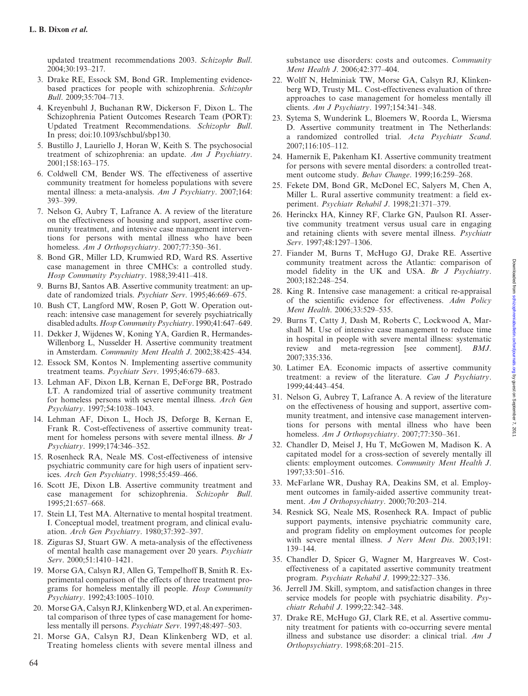updated treatment recommendations 2003. Schizophr Bull. 2004;30:193–217.

- 3. Drake RE, Essock SM, Bond GR. Implementing evidencebased practices for people with schizophrenia. Schizophr Bull. 2009;35:704–713.
- 4. Kreyenbuhl J, Buchanan RW, Dickerson F, Dixon L. The Schizophrenia Patient Outcomes Research Team (PORT): Updated Treatment Recommendations. Schizophr Bull. In press; doi:10.1093/schbul/sbp130.
- 5. Bustillo J, Lauriello J, Horan W, Keith S. The psychosocial treatment of schizophrenia: an update. Am J Psychiatry. 2001;158:163–175.
- 6. Coldwell CM, Bender WS. The effectiveness of assertive community treatment for homeless populations with severe mental illness: a meta-analysis. Am J Psychiatry. 2007;164: 393–399.
- 7. Nelson G, Aubry T, Lafrance A. A review of the literature on the effectiveness of housing and support, assertive community treatment, and intensive case management interventions for persons with mental illness who have been homeless. Am J Orthopsychiatry. 2007;77:350-361.
- 8. Bond GR, Miller LD, Krumwied RD, Ward RS. Assertive case management in three CMHCs: a controlled study. Hosp Community Psychiatry. 1988;39:411–418.
- 9. Burns BJ, Santos AB. Assertive community treatment: an update of randomized trials. Psychiatr Serv. 1995;46:669–675.
- 10. Bush CT, Langford MW, Rosen P, Gott W. Operation outreach: intensive case management for severely psychiatrically disabled adults. Hosp Community Psychiatry. 1990;41:647–649.
- 11. Dekker J, Wijdenes W, Koning YA, Gardien R, Hermandes-Willenborg L, Nusselder H. Assertive community treatment in Amsterdam. Community Ment Health J. 2002;38:425–434.
- 12. Essock SM, Kontos N. Implementing assertive community treatment teams. Psychiatr Serv. 1995;46:679–683.
- 13. Lehman AF, Dixon LB, Kernan E, DeForge BR, Postrado LT. A randomized trial of assertive community treatment for homeless persons with severe mental illness. Arch Gen Psychiatry. 1997;54:1038–1043.
- 14. Lehman AF, Dixon L, Hoch JS, Deforge B, Kernan E, Frank R. Cost-effectiveness of assertive community treatment for homeless persons with severe mental illness. Br J Psychiatry. 1999;174:346–352.
- 15. Rosenheck RA, Neale MS. Cost-effectiveness of intensive psychiatric community care for high users of inpatient services. Arch Gen Psychiatry. 1998;55:459–466.
- 16. Scott JE, Dixon LB. Assertive community treatment and case management for schizophrenia. Schizophr Bull. 1995;21:657–668.
- 17. Stein LI, Test MA. Alternative to mental hospital treatment. I. Conceptual model, treatment program, and clinical evaluation. Arch Gen Psychiatry. 1980;37:392–397.
- 18. Ziguras SJ, Stuart GW. A meta-analysis of the effectiveness of mental health case management over 20 years. Psychiatr Serv. 2000;51:1410–1421.
- 19. Morse GA, Calsyn RJ, Allen G, Tempelhoff B, Smith R. Experimental comparison of the effects of three treatment programs for homeless mentally ill people. Hosp Community Psychiatry. 1992;43:1005–1010.
- 20. Morse GA, Calsyn RJ, Klinkenberg WD, et al. An experimental comparison of three types of case management for homeless mentally ill persons. Psychiatr Serv. 1997;48:497–503.
- 21. Morse GA, Calsyn RJ, Dean Klinkenberg WD, et al. Treating homeless clients with severe mental illness and

substance use disorders: costs and outcomes. Community Ment Health J. 2006;42:377–404.

- 22. Wolff N, Helminiak TW, Morse GA, Calsyn RJ, Klinkenberg WD, Trusty ML. Cost-effectiveness evaluation of three approaches to case management for homeless mentally ill clients. Am J Psychiatry. 1997;154:341–348.
- 23. Sytema S, Wunderink L, Bloemers W, Roorda L, Wiersma D. Assertive community treatment in The Netherlands: a randomized controlled trial. Acta Psychiatr Scand. 2007;116:105–112.
- 24. Hamernik E, Pakenham KI. Assertive community treatment for persons with severe mental disorders: a controlled treatment outcome study. Behav Change. 1999;16:259–268.
- 25. Fekete DM, Bond GR, McDonel EC, Salyers M, Chen A, Miller L. Rural assertive community treatment: a field experiment. Psychiatr Rehabil J. 1998;21:371–379.
- 26. Herinckx HA, Kinney RF, Clarke GN, Paulson RI. Assertive community treatment versus usual care in engaging and retaining clients with severe mental illness. Psychiatr Serv. 1997;48:1297–1306.
- 27. Fiander M, Burns T, McHugo GJ, Drake RE. Assertive community treatment across the Atlantic: comparison of model fidelity in the UK and USA. Br J Psychiatry. 2003;182:248–254.
- 28. King R. Intensive case management: a critical re-appraisal of the scientific evidence for effectiveness. Adm Policy Ment Health. 2006;33:529–535.
- 29. Burns T, Catty J, Dash M, Roberts C, Lockwood A, Marshall M. Use of intensive case management to reduce time in hospital in people with severe mental illness: systematic review and meta-regression [see comment]. BMJ. 2007;335:336.
- 30. Latimer EA. Economic impacts of assertive community treatment: a review of the literature. Can J Psychiatry. 1999;44:443–454.
- 31. Nelson G, Aubrey T, Lafrance A. A review of the literature on the effectiveness of housing and support, assertive community treatment, and intensive case management interventions for persons with mental illness who have been homeless. Am J Orthopsychiatry. 2007;77:350-361.
- 32. Chandler D, Meisel J, Hu T, McGowen M, Madison K. A capitated model for a cross-section of severely mentally ill clients: employment outcomes. Community Ment Health J. 1997;33:501–516.
- 33. McFarlane WR, Dushay RA, Deakins SM, et al. Employment outcomes in family-aided assertive community treatment. Am J Orthopsychiatry. 2000;70:203–214.
- 34. Resnick SG, Neale MS, Rosenheck RA. Impact of public support payments, intensive psychiatric community care, and program fidelity on employment outcomes for people with severe mental illness. *J Nerv Ment Dis.* 2003;191: 139–144.
- 35. Chandler D, Spicer G, Wagner M, Hargreaves W. Costeffectiveness of a capitated assertive community treatment program. Psychiatr Rehabil J. 1999;22:327–336.
- 36. Jerrell JM. Skill, symptom, and satisfaction changes in three service models for people with psychiatric disability. Psychiatr Rehabil J. 1999;22:342–348.
- 37. Drake RE, McHugo GJ, Clark RE, et al. Assertive community treatment for patients with co-occurring severe mental illness and substance use disorder: a clinical trial. Am J Orthopsychiatry. 1998;68:201–215.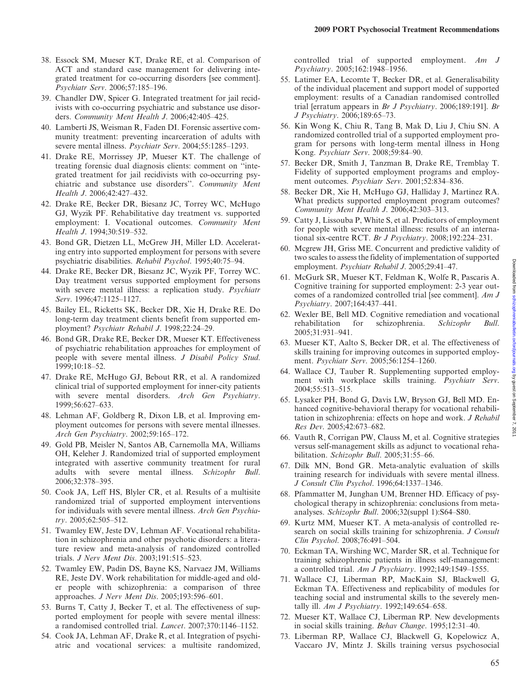- 38. Essock SM, Mueser KT, Drake RE, et al. Comparison of ACT and standard case management for delivering integrated treatment for co-occurring disorders [see comment]. Psychiatr Serv. 2006;57:185–196.
- 39. Chandler DW, Spicer G. Integrated treatment for jail recidivists with co-occurring psychiatric and substance use disorders. Community Ment Health J. 2006;42:405–425.
- 40. Lamberti JS, Weisman R, Faden DI. Forensic assertive community treatment: preventing incarceration of adults with severe mental illness. Psychiatr Serv. 2004;55:1285–1293.
- 41. Drake RE, Morrissey JP, Mueser KT. The challenge of treating forensic dual diagnosis clients: comment on ''integrated treatment for jail recidivists with co-occurring psychiatric and substance use disorders''. Community Ment Health J. 2006;42:427–432.
- 42. Drake RE, Becker DR, Biesanz JC, Torrey WC, McHugo GJ, Wyzik PF. Rehabilitative day treatment vs. supported employment: I. Vocational outcomes. Community Ment Health J. 1994;30:519–532.
- 43. Bond GR, Dietzen LL, McGrew JH, Miller LD. Accelerating entry into supported employment for persons with severe psychiatric disabilities. Rehabil Psychol. 1995;40:75–94.
- 44. Drake RE, Becker DR, Biesanz JC, Wyzik PF, Torrey WC. Day treatment versus supported employment for persons with severe mental illness: a replication study. Psychiatr Serv. 1996;47:1125–1127.
- 45. Bailey EL, Ricketts SK, Becker DR, Xie H, Drake RE. Do long-term day treatment clients benefit from supported employment? Psychiatr Rehabil J. 1998;22:24–29.
- 46. Bond GR, Drake RE, Becker DR, Mueser KT. Effectiveness of psychiatric rehabilitation approaches for employment of people with severe mental illness. J Disabil Policy Stud. 1999;10:18–52.
- 47. Drake RE, McHugo GJ, Bebout RR, et al. A randomized clinical trial of supported employment for inner-city patients with severe mental disorders. Arch Gen Psychiatry. 1999;56:627–633.
- 48. Lehman AF, Goldberg R, Dixon LB, et al. Improving employment outcomes for persons with severe mental illnesses. Arch Gen Psychiatry. 2002;59:165–172.
- 49. Gold PB, Meisler N, Santos AB, Carnemolla MA, Williams OH, Keleher J. Randomized trial of supported employment integrated with assertive community treatment for rural adults with severe mental illness. Schizophr Bull. 2006;32:378–395.
- 50. Cook JA, Leff HS, Blyler CR, et al. Results of a multisite randomized trial of supported employment interventions for individuals with severe mental illness. Arch Gen Psychiatry. 2005;62:505–512.
- 51. Twamley EW, Jeste DV, Lehman AF. Vocational rehabilitation in schizophrenia and other psychotic disorders: a literature review and meta-analysis of randomized controlled trials. J Nerv Ment Dis. 2003;191:515–523.
- 52. Twamley EW, Padin DS, Bayne KS, Narvaez JM, Williams RE, Jeste DV. Work rehabilitation for middle-aged and older people with schizophrenia: a comparison of three approaches. J Nerv Ment Dis. 2005;193:596–601.
- 53. Burns T, Catty J, Becker T, et al. The effectiveness of supported employment for people with severe mental illness: a randomised controlled trial. Lancet. 2007;370:1146–1152.
- 54. Cook JA, Lehman AF, Drake R, et al. Integration of psychiatric and vocational services: a multisite randomized,

controlled trial of supported employment. Am J Psychiatry. 2005;162:1948–1956.

- 55. Latimer EA, Lecomte T, Becker DR, et al. Generalisability of the individual placement and support model of supported employment: results of a Canadian randomised controlled trial [erratum appears in Br J Psychiatry. 2006;189:191]. Br J Psychiatry. 2006;189:65–73.
- 56. Kin Wong K, Chiu R, Tang B, Mak D, Liu J, Chiu SN. A randomized controlled trial of a supported employment program for persons with long-term mental illness in Hong Kong. Psychiatr Serv. 2008;59:84–90.
- 57. Becker DR, Smith J, Tanzman B, Drake RE, Tremblay T. Fidelity of supported employment programs and employment outcomes. Psychiatr Serv. 2001;52:834–836.
- 58. Becker DR, Xie H, McHugo GJ, Halliday J, Martinez RA. What predicts supported employment program outcomes? Community Ment Health J. 2006;42:303–313.
- 59. Catty J, Lissouba P, White S, et al. Predictors of employment for people with severe mental illness: results of an international six-centre RCT. Br J Psychiatry. 2008;192:224–231.
- 60. Mcgrew JH, Griss ME. Concurrent and predictive validity of two scales to assess the fidelity of implementation of supported employment. Psychiatr Rehabil J. 2005;29:41–47.
- 61. McGurk SR, Mueser KT, Feldman K, Wolfe R, Pascaris A. Cognitive training for supported employment: 2-3 year outcomes of a randomized controlled trial [see comment]. Am J Psychiatry. 2007;164:437–441.
- 62. Wexler BE, Bell MD. Cognitive remediation and vocational rehabilitation for schizophrenia. Schizophr Bull. 2005;31:931–941.
- 63. Mueser KT, Aalto S, Becker DR, et al. The effectiveness of skills training for improving outcomes in supported employment. Psychiatr Serv. 2005;56:1254–1260.
- 64. Wallace CJ, Tauber R. Supplementing supported employment with workplace skills training. Psychiatr Serv. 2004;55:513–515.
- 65. Lysaker PH, Bond G, Davis LW, Bryson GJ, Bell MD. Enhanced cognitive-behavioral therapy for vocational rehabilitation in schizophrenia: effects on hope and work. J Rehabil Res Dev. 2005;42:673–682.
- 66. Vauth R, Corrigan PW, Clauss M, et al. Cognitive strategies versus self-management skills as adjunct to vocational rehabilitation. Schizophr Bull. 2005;31:55–66.
- 67. Dilk MN, Bond GR. Meta-analytic evaluation of skills training research for individuals with severe mental illness. J Consult Clin Psychol. 1996;64:1337–1346.
- 68. Pfammatter M, Junghan UM, Brenner HD. Efficacy of psychological therapy in schizophrenia: conclusions from metaanalyses. Schizophr Bull. 2006;32(suppl 1):S64–S80.
- 69. Kurtz MM, Mueser KT. A meta-analysis of controlled research on social skills training for schizophrenia. J Consult Clin Psychol. 2008;76:491–504.
- 70. Eckman TA, Wirshing WC, Marder SR, et al. Technique for training schizophrenic patients in illness self-management: a controlled trial. Am J Psychiatry. 1992;149:1549–1555.
- 71. Wallace CJ, Liberman RP, MacKain SJ, Blackwell G, Eckman TA. Effectiveness and replicability of modules for teaching social and instrumental skills to the severely mentally ill. Am J Psychiatry. 1992;149:654–658.
- 72. Mueser KT, Wallace CJ, Liberman RP. New developments in social skills training. Behav Change. 1995;12:31–40.
- 73. Liberman RP, Wallace CJ, Blackwell G, Kopelowicz A, Vaccaro JV, Mintz J. Skills training versus psychosocial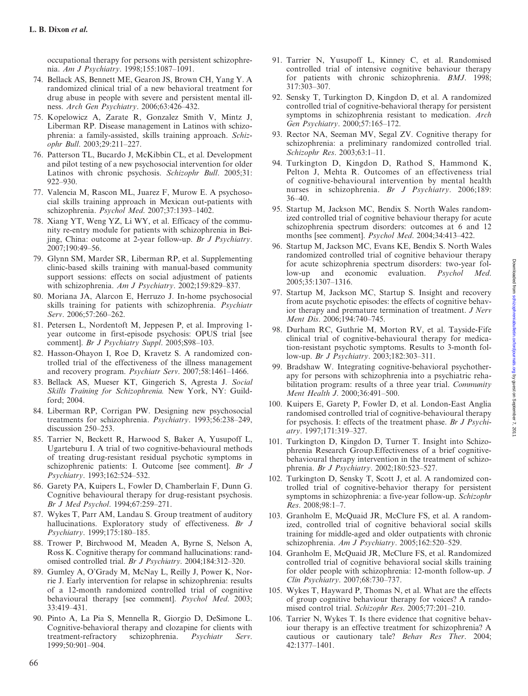occupational therapy for persons with persistent schizophrenia. Am J Psychiatry. 1998;155:1087–1091.

- 74. Bellack AS, Bennett ME, Gearon JS, Brown CH, Yang Y. A randomized clinical trial of a new behavioral treatment for drug abuse in people with severe and persistent mental illness. Arch Gen Psychiatry. 2006;63:426–432.
- 75. Kopelowicz A, Zarate R, Gonzalez Smith V, Mintz J, Liberman RP. Disease management in Latinos with schizophrenia: a family-assisted, skills training approach. Schizophr Bull. 2003;29:211–227.
- 76. Patterson TL, Bucardo J, McKibbin CL, et al. Development and pilot testing of a new psychosocial intervention for older Latinos with chronic psychosis. Schizophr Bull. 2005;31: 922–930.
- 77. Valencia M, Rascon ML, Juarez F, Murow E. A psychosocial skills training approach in Mexican out-patients with schizophrenia. Psychol Med. 2007;37:1393–1402.
- 78. Xiang YT, Weng YZ, Li WY, et al. Efficacy of the community re-entry module for patients with schizophrenia in Beijing, China: outcome at 2-year follow-up. Br J Psychiatry. 2007;190:49–56.
- 79. Glynn SM, Marder SR, Liberman RP, et al. Supplementing clinic-based skills training with manual-based community support sessions: effects on social adjustment of patients with schizophrenia. Am J Psychiatry. 2002;159:829–837.
- 80. Moriana JA, Alarcon E, Herruzo J. In-home psychosocial skills training for patients with schizophrenia. Psychiatr Serv. 2006;57:260–262.
- 81. Petersen L, Nordentoft M, Jeppesen P, et al. Improving 1 year outcome in first-episode psychosis: OPUS trial [see comment]. Br J Psychiatry Suppl. 2005;S98-103.
- 82. Hasson-Ohayon I, Roe D, Kravetz S. A randomized controlled trial of the effectiveness of the illness management and recovery program. Psychiatr Serv. 2007;58:1461–1466.
- 83. Bellack AS, Mueser KT, Gingerich S, Agresta J. Social Skills Training for Schizophrenia. New York, NY: Guildford; 2004.
- 84. Liberman RP, Corrigan PW. Designing new psychosocial treatments for schizophrenia. Psychiatry. 1993;56:238–249, discussion 250–253.
- 85. Tarrier N, Beckett R, Harwood S, Baker A, Yusupoff L, Ugarteburu I. A trial of two cognitive-behavioural methods of treating drug-resistant residual psychotic symptoms in schizophrenic patients: I. Outcome [see comment]. Br J Psychiatry. 1993;162:524–532.
- 86. Garety PA, Kuipers L, Fowler D, Chamberlain F, Dunn G. Cognitive behavioural therapy for drug-resistant psychosis. Br J Med Psychol. 1994;67:259–271.
- 87. Wykes T, Parr AM, Landau S. Group treatment of auditory hallucinations. Exploratory study of effectiveness. Br J Psychiatry. 1999;175:180–185.
- 88. Trower P, Birchwood M, Meaden A, Byrne S, Nelson A, Ross K. Cognitive therapy for command hallucinations: randomised controlled trial. Br J Psychiatry. 2004;184:312–320.
- 89. Gumley A, O'Grady M, McNay L, Reilly J, Power K, Norrie J. Early intervention for relapse in schizophrenia: results of a 12-month randomized controlled trial of cognitive behavioural therapy [see comment]. Psychol Med. 2003; 33:419–431.
- 90. Pinto A, La Pia S, Mennella R, Giorgio D, DeSimone L. Cognitive-behavioral therapy and clozapine for clients with treatment-refractory schizophrenia. Psychiatr Serv. 1999;50:901–904.
- 91. Tarrier N, Yusupoff L, Kinney C, et al. Randomised controlled trial of intensive cognitive behaviour therapy for patients with chronic schizophrenia. BMJ. 1998; 317:303–307.
- 92. Sensky T, Turkington D, Kingdon D, et al. A randomized controlled trial of cognitive-behavioral therapy for persistent symptoms in schizophrenia resistant to medication. Arch Gen Psychiatry. 2000;57:165–172.
- 93. Rector NA, Seeman MV, Segal ZV. Cognitive therapy for schizophrenia: a preliminary randomized controlled trial. Schizophr Res. 2003;63:1–11.
- 94. Turkington D, Kingdon D, Rathod S, Hammond K, Pelton J, Mehta R. Outcomes of an effectiveness trial of cognitive-behavioural intervention by mental health nurses in schizophrenia. Br J Psychiatry. 2006;189: 36–40.
- 95. Startup M, Jackson MC, Bendix S. North Wales randomized controlled trial of cognitive behaviour therapy for acute schizophrenia spectrum disorders: outcomes at 6 and 12 months [see comment]. Psychol Med. 2004;34:413–422.
- 96. Startup M, Jackson MC, Evans KE, Bendix S. North Wales randomized controlled trial of cognitive behaviour therapy for acute schizophrenia spectrum disorders: two-year follow-up and economic evaluation. Psychol Med. 2005;35:1307–1316.
- 97. Startup M, Jackson MC, Startup S. Insight and recovery from acute psychotic episodes: the effects of cognitive behavior therapy and premature termination of treatment. J Nerv Ment Dis. 2006;194:740–745.
- 98. Durham RC, Guthrie M, Morton RV, et al. Tayside-Fife clinical trial of cognitive-behavioural therapy for medication-resistant psychotic symptoms. Results to 3-month follow-up. Br J Psychiatry. 2003;182:303–311.
- 99. Bradshaw W. Integrating cognitive-behavioral psychotherapy for persons with schizophrenia into a psychiatric rehabilitation program: results of a three year trial. *Community* Ment Health J. 2000;36:491–500.
- 100. Kuipers E, Garety P, Fowler D, et al. London-East Anglia randomised controlled trial of cognitive-behavioural therapy for psychosis. I: effects of the treatment phase. Br J Psychiatry. 1997;171:319–327.
- 101. Turkington D, Kingdon D, Turner T. Insight into Schizophrenia Research Group.Effectiveness of a brief cognitivebehavioural therapy intervention in the treatment of schizophrenia. Br J Psychiatry. 2002;180:523–527.
- 102. Turkington D, Sensky T, Scott J, et al. A randomized controlled trial of cognitive-behavior therapy for persistent symptoms in schizophrenia: a five-year follow-up. Schizophr Res. 2008;98:1–7.
- 103. Granholm E, McQuaid JR, McClure FS, et al. A randomized, controlled trial of cognitive behavioral social skills training for middle-aged and older outpatients with chronic schizophrenia. Am J Psychiatry. 2005;162:520-529.
- 104. Granholm E, McQuaid JR, McClure FS, et al. Randomized controlled trial of cognitive behavioral social skills training for older people with schizophrenia: 12-month follow-up. J Clin Psychiatry. 2007;68:730–737.
- 105. Wykes T, Hayward P, Thomas N, et al. What are the effects of group cognitive behaviour therapy for voices? A randomised control trial. Schizophr Res. 2005;77:201–210.
- 106. Tarrier N, Wykes T. Is there evidence that cognitive behaviour therapy is an effective treatment for schizophrenia? A cautious or cautionary tale? Behav Res Ther. 2004; 42:1377–1401.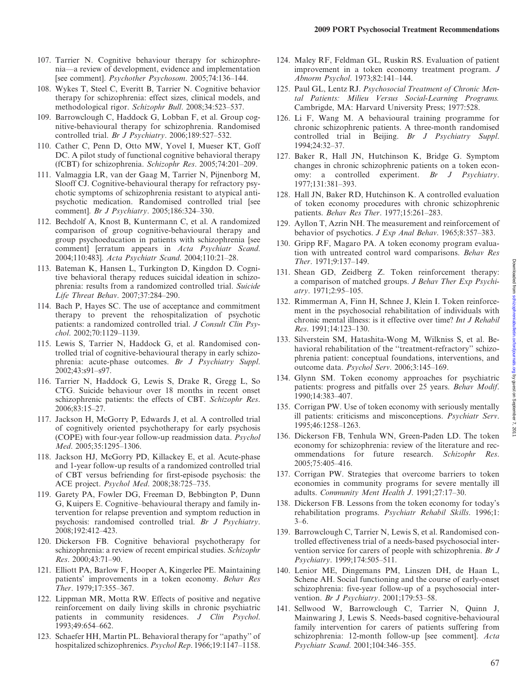- 107. Tarrier N. Cognitive behaviour therapy for schizophrenia—a review of development, evidence and implementation [see comment]. Psychother Psychosom. 2005;74:136–144.
- 108. Wykes T, Steel C, Everitt B, Tarrier N. Cognitive behavior therapy for schizophrenia: effect sizes, clinical models, and methodological rigor. Schizophr Bull. 2008;34:523–537.
- 109. Barrowclough C, Haddock G, Lobban F, et al. Group cognitive-behavioural therapy for schizophrenia. Randomised controlled trial. Br J Psychiatry. 2006;189:527–532.
- 110. Cather C, Penn D, Otto MW, Yovel I, Mueser KT, Goff DC. A pilot study of functional cognitive behavioral therapy (fCBT) for schizophrenia. Schizophr Res. 2005;74:201–209.
- 111. Valmaggia LR, van der Gaag M, Tarrier N, Pijnenborg M, Slooff CJ. Cognitive-behavioural therapy for refractory psychotic symptoms of schizophrenia resistant to atypical antipsychotic medication. Randomised controlled trial [see comment]. Br J Psychiatry. 2005;186:324–330.
- 112. Bechdolf A, Knost B, Kuntermann C, et al. A randomized comparison of group cognitive-behavioural therapy and group psychoeducation in patients with schizophrenia [see comment] [erratum appears in Acta Psychiatr Scand. 2004;110:483]. Acta Psychiatr Scand. 2004;110:21–28.
- 113. Bateman K, Hansen L, Turkington D, Kingdon D. Cognitive behavioral therapy reduces suicidal ideation in schizophrenia: results from a randomized controlled trial. Suicide Life Threat Behav. 2007;37:284–290.
- 114. Bach P, Hayes SC. The use of acceptance and commitment therapy to prevent the rehospitalization of psychotic patients: a randomized controlled trial. J Consult Clin Psychol. 2002;70:1129–1139.
- 115. Lewis S, Tarrier N, Haddock G, et al. Randomised controlled trial of cognitive-behavioural therapy in early schizophrenia: acute-phase outcomes. Br J Psychiatry Suppl. 2002;43:s91–s97.
- 116. Tarrier N, Haddock G, Lewis S, Drake R, Gregg L, So CTG. Suicide behaviour over 18 months in recent onset schizophrenic patients: the effects of CBT. Schizophr Res. 2006;83:15–27.
- 117. Jackson H, McGorry P, Edwards J, et al. A controlled trial of cognitively oriented psychotherapy for early psychosis (COPE) with four-year follow-up readmission data. Psychol Med. 2005;35:1295–1306.
- 118. Jackson HJ, McGorry PD, Killackey E, et al. Acute-phase and 1-year follow-up results of a randomized controlled trial of CBT versus befriending for first-episode psychosis: the ACE project. Psychol Med. 2008;38:725–735.
- 119. Garety PA, Fowler DG, Freeman D, Bebbington P, Dunn G, Kuipers E. Cognitive–behavioural therapy and family intervention for relapse prevention and symptom reduction in psychosis: randomised controlled trial. Br J Psychiatry. 2008;192:412–423.
- 120. Dickerson FB. Cognitive behavioral psychotherapy for schizophrenia: a review of recent empirical studies. Schizophr Res. 2000;43:71–90.
- 121. Elliott PA, Barlow F, Hooper A, Kingerlee PE. Maintaining patients' improvements in a token economy. Behav Res Ther. 1979;17:355–367.
- 122. Lippman MR, Motta RW. Effects of positive and negative reinforcement on daily living skills in chronic psychiatric patients in community residences. J Clin Psychol. 1993;49:654–662.
- 123. Schaefer HH, Martin PL. Behavioral therapy for ''apathy'' of hospitalized schizophrenics. Psychol Rep. 1966;19:1147-1158.
- 124. Maley RF, Feldman GL, Ruskin RS. Evaluation of patient improvement in a token economy treatment program. J Abnorm Psychol. 1973;82:141–144.
- 125. Paul GL, Lentz RJ. Psychosocial Treatment of Chronic Mental Patients: Milieu Versus Social-Learning Programs. Cambrigde, MA: Harvard University Press; 1977:528.
- 126. Li F, Wang M. A behavioural training programme for chronic schizophrenic patients. A three-month randomised controlled trial in Beijing. Br J Psychiatry Suppl. 1994;24:32–37.
- 127. Baker R, Hall JN, Hutchinson K, Bridge G. Symptom changes in chronic schizophrenic patients on a token economy: a controlled experiment. Br J Psychiatry. 1977;131:381–393.
- 128. Hall JN, Baker RD, Hutchinson K. A controlled evaluation of token economy procedures with chronic schizophrenic patients. Behav Res Ther. 1977;15:261–283.
- 129. Ayllon T, Azrin NH. The measurement and reinforcement of behavior of psychotics. J Exp Anal Behav. 1965;8:357–383.
- 130. Gripp RF, Magaro PA. A token economy program evaluation with untreated control ward comparisons. Behav Res Ther. 1971;9:137–149.
- 131. Shean GD, Zeidberg Z. Token reinforcement therapy: a comparison of matched groups. J Behav Ther Exp Psychiatry. 1971;2:95–105.
- 132. Rimmerman A, Finn H, Schnee J, Klein I. Token reinforcement in the psychosocial rehabilitation of individuals with chronic mental illness: is it effective over time? Int J Rehabil Res. 1991;14:123–130.
- 133. Silverstein SM, Hatashita-Wong M, Wilkniss S, et al. Behavioral rehabilitation of the ''treatment-refractory'' schizophrenia patient: conceptual foundations, interventions, and outcome data. Psychol Serv. 2006;3:145–169.
- 134. Glynn SM. Token economy approaches for psychiatric patients: progress and pitfalls over 25 years. Behav Modif. 1990;14:383–407.
- 135. Corrigan PW. Use of token economy with seriously mentally ill patients: criticisms and misconceptions. Psychiatr Serv. 1995;46:1258–1263.
- 136. Dickerson FB, Tenhula WN, Green-Paden LD. The token economy for schizophrenia: review of the literature and recommendations for future research. Schizophr Res. 2005;75:405–416.
- 137. Corrigan PW. Strategies that overcome barriers to token economies in community programs for severe mentally ill adults. Community Ment Health J. 1991;27:17–30.
- 138. Dickerson FB. Lessons from the token economy for today's rehabilitation programs. Psychiatr Rehabil Skills. 1996;1: 3–6.
- 139. Barrowclough C, Tarrier N, Lewis S, et al. Randomised controlled effectiveness trial of a needs-based psychosocial intervention service for carers of people with schizophrenia. Br J Psychiatry. 1999;174:505–511.
- 140. Lenior ME, Dingemans PM, Linszen DH, de Haan L, Schene AH. Social functioning and the course of early-onset schizophrenia: five-year follow-up of a psychosocial intervention. *Br J Psychiatry*. 2001;179:53-58.
- 141. Sellwood W, Barrowclough C, Tarrier N, Quinn J, Mainwaring J, Lewis S. Needs-based cognitive-behavioural family intervention for carers of patients suffering from schizophrenia: 12-month follow-up [see comment]. Acta Psychiatr Scand. 2001;104:346–355.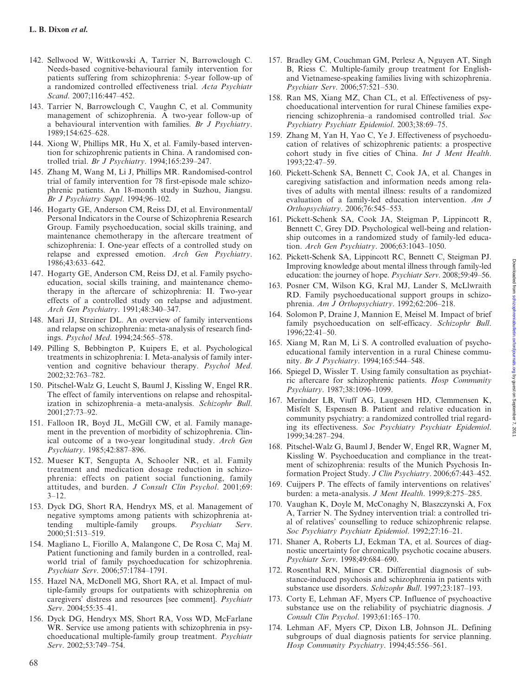- 142. Sellwood W, Wittkowski A, Tarrier N, Barrowclough C. Needs-based cognitive-behavioural family intervention for patients suffering from schizophrenia: 5-year follow-up of a randomized controlled effectiveness trial. Acta Psychiatr Scand. 2007;116:447–452.
- 143. Tarrier N, Barrowclough C, Vaughn C, et al. Community management of schizophrenia. A two-year follow-up of a behavioural intervention with families. Br J Psychiatry. 1989;154:625–628.
- 144. Xiong W, Phillips MR, Hu X, et al. Family-based intervention for schizophrenic patients in China. A randomised controlled trial. Br J Psychiatry. 1994;165:239–247.
- 145. Zhang M, Wang M, Li J, Phillips MR. Randomised-control trial of family intervention for 78 first-episode male schizophrenic patients. An 18-month study in Suzhou, Jiangsu. Br J Psychiatry Suppl. 1994;96–102.
- 146. Hogarty GE, Anderson CM, Reiss DJ, et al. Environmental/ Personal Indicators in the Course of Schizophrenia Research Group. Family psychoeducation, social skills training, and maintenance chemotherapy in the aftercare treatment of schizophrenia: I. One-year effects of a controlled study on relapse and expressed emotion. Arch Gen Psychiatry. 1986;43:633–642.
- 147. Hogarty GE, Anderson CM, Reiss DJ, et al. Family psychoeducation, social skills training, and maintenance chemotherapy in the aftercare of schizophrenia: II. Two-year effects of a controlled study on relapse and adjustment. Arch Gen Psychiatry. 1991;48:340–347.
- 148. Mari JJ, Streiner DL. An overview of family interventions and relapse on schizophrenia: meta-analysis of research findings. Psychol Med. 1994;24:565–578.
- 149. Pilling S, Bebbington P, Kuipers E, et al. Psychological treatments in schizophrenia: I. Meta-analysis of family intervention and cognitive behaviour therapy. Psychol Med. 2002;32:763–782.
- 150. Pitschel-Walz G, Leucht S, Bauml J, Kissling W, Engel RR. The effect of family interventions on relapse and rehospitalization in schizophrenia–a meta-analysis. Schizophr Bull. 2001;27:73–92.
- 151. Falloon IR, Boyd JL, McGill CW, et al. Family management in the prevention of morbidity of schizophrenia. Clinical outcome of a two-year longitudinal study. Arch Gen Psychiatry. 1985;42:887–896.
- 152. Mueser KT, Sengupta A, Schooler NR, et al. Family treatment and medication dosage reduction in schizophrenia: effects on patient social functioning, family attitudes, and burden. J Consult Clin Psychol. 2001;69:  $3 - 12$ .
- 153. Dyck DG, Short RA, Hendryx MS, et al. Management of negative symptoms among patients with schizophrenia attending multiple-family groups. *Psychiatr Serv*. tending multiple-family groups. Psychiatr Serv. 2000;51:513–519.
- 154. Magliano L, Fiorillo A, Malangone C, De Rosa C, Maj M. Patient functioning and family burden in a controlled, realworld trial of family psychoeducation for schizophrenia. Psychiatr Serv. 2006;57:1784–1791.
- 155. Hazel NA, McDonell MG, Short RA, et al. Impact of multiple-family groups for outpatients with schizophrenia on caregivers' distress and resources [see comment]. Psychiatr Serv. 2004;55:35–41.
- 156. Dyck DG, Hendryx MS, Short RA, Voss WD, McFarlane WR. Service use among patients with schizophrenia in psychoeducational multiple-family group treatment. Psychiatr Serv. 2002;53:749–754.
- 157. Bradley GM, Couchman GM, Perlesz A, Nguyen AT, Singh B, Riess C. Multiple-family group treatment for Englishand Vietnamese-speaking families living with schizophrenia. Psychiatr Serv. 2006;57:521–530.
- 158. Ran MS, Xiang MZ, Chan CL, et al. Effectiveness of psychoeducational intervention for rural Chinese families experiencing schizophrenia–a randomised controlled trial. Soc Psychiatry Psychiatr Epidemiol. 2003;38:69–75.
- 159. Zhang M, Yan H, Yao C, Ye J. Effectiveness of psychoeducation of relatives of schizophrenic patients: a prospective cohort study in five cities of China. Int J Ment Health. 1993;22:47–59.
- 160. Pickett-Schenk SA, Bennett C, Cook JA, et al. Changes in caregiving satisfaction and information needs among relatives of adults with mental illness: results of a randomized evaluation of a family-led education intervention. Am J Orthopsychiatry. 2006;76:545–553.
- 161. Pickett-Schenk SA, Cook JA, Steigman P, Lippincott R, Bennett C, Grey DD. Psychological well-being and relationship outcomes in a randomized study of family-led education. Arch Gen Psychiatry. 2006;63:1043–1050.
- 162. Pickett-Schenk SA, Lippincott RC, Bennett C, Steigman PJ. Improving knowledge about mental illness through family-led education: the journey of hope. Psychiatr Serv. 2008;59:49–56.
- 163. Posner CM, Wilson KG, Kral MJ, Lander S, McLlwraith RD. Family psychoeducational support groups in schizophrenia. Am J Orthopsychiatry. 1992;62:206–218.
- 164. Solomon P, Draine J, Mannion E, Meisel M. Impact of brief family psychoeducation on self-efficacy. Schizophr Bull. 1996;22:41–50.
- 165. Xiang M, Ran M, Li S. A controlled evaluation of psychoeducational family intervention in a rural Chinese community. Br J Psychiatry. 1994;165:544–548.
- 166. Spiegel D, Wissler T. Using family consultation as psychiatric aftercare for schizophrenic patients. Hosp Community Psychiatry. 1987;38:1096–1099.
- 167. Merinder LB, Viuff AG, Laugesen HD, Clemmensen K, Misfelt S, Espensen B. Patient and relative education in community psychiatry: a randomized controlled trial regarding its effectiveness. Soc Psychiatry Psychiatr Epidemiol. 1999;34:287–294.
- 168. Pitschel-Walz G, Bauml J, Bender W, Engel RR, Wagner M, Kissling W. Psychoeducation and compliance in the treatment of schizophrenia: results of the Munich Psychosis Information Project Study. J Clin Psychiatry. 2006;67:443–452.
- 169. Cuijpers P. The effects of family interventions on relatives' burden: a meta-analysis. J Ment Health. 1999;8:275–285.
- 170. Vaughan K, Doyle M, McConaghy N, Blaszczynski A, Fox A, Tarrier N. The Sydney intervention trial: a controlled trial of relatives' counselling to reduce schizophrenic relapse. Soc Psychiatry Psychiatr Epidemiol. 1992;27:16–21.
- 171. Shaner A, Roberts LJ, Eckman TA, et al. Sources of diagnostic uncertainty for chronically psychotic cocaine abusers. Psychiatr Serv. 1998;49:684–690.
- 172. Rosenthal RN, Miner CR. Differential diagnosis of substance-induced psychosis and schizophrenia in patients with substance use disorders. Schizophr Bull. 1997;23:187-193.
- 173. Corty E, Lehman AF, Myers CP. Influence of psychoactive substance use on the reliability of psychiatric diagnosis.  $J$ Consult Clin Psychol. 1993;61:165–170.
- 174. Lehman AF, Myers CP, Dixon LB, Johnson JL. Defining subgroups of dual diagnosis patients for service planning. Hosp Community Psychiatry. 1994;45:556–561.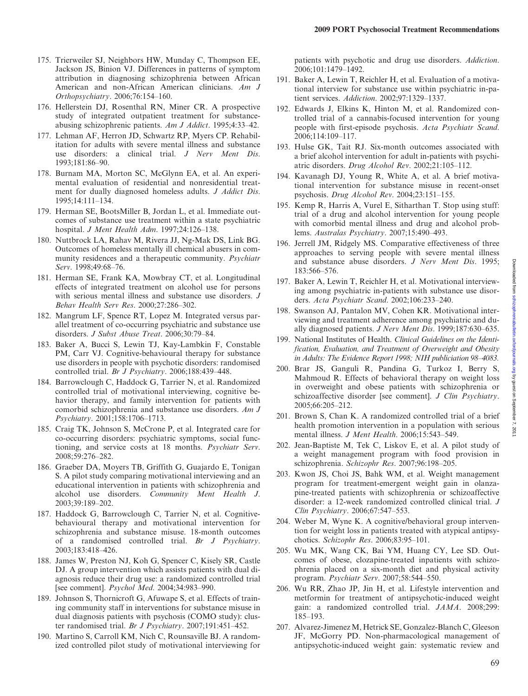- 175. Trierweiler SJ, Neighbors HW, Munday C, Thompson EE, Jackson JS, Binion VJ. Differences in patterns of symptom attribution in diagnosing schizophrenia between African American and non-African American clinicians. Am J Orthopsychiatry. 2006;76:154–160.
- 176. Hellerstein DJ, Rosenthal RN, Miner CR. A prospective study of integrated outpatient treatment for substanceabusing schizophrenic patients. Am J Addict. 1995;4:33–42.
- 177. Lehman AF, Herron JD, Schwartz RP, Myers CP. Rehabilitation for adults with severe mental illness and substance use disorders: a clinical trial. J Nerv Ment Dis. 1993;181:86–90.
- 178. Burnam MA, Morton SC, McGlynn EA, et al. An experimental evaluation of residential and nonresidential treatment for dually diagnosed homeless adults. J Addict Dis. 1995;14:111–134.
- 179. Herman SE, BootsMiller B, Jordan L, et al. Immediate outcomes of substance use treatment within a state psychiatric hospital. J Ment Health Adm. 1997;24:126–138.
- 180. Nuttbrock LA, Rahav M, Rivera JJ, Ng-Mak DS, Link BG. Outcomes of homeless mentally ill chemical abusers in community residences and a therapeutic community. Psychiatr Serv. 1998;49:68–76.
- 181. Herman SE, Frank KA, Mowbray CT, et al. Longitudinal effects of integrated treatment on alcohol use for persons with serious mental illness and substance use disorders. J Behav Health Serv Res. 2000;27:286–302.
- 182. Mangrum LF, Spence RT, Lopez M. Integrated versus parallel treatment of co-occurring psychiatric and substance use disorders. J Subst Abuse Treat. 2006;30:79–84.
- 183. Baker A, Bucci S, Lewin TJ, Kay-Lambkin F, Constable PM, Carr VJ. Cognitive-behavioural therapy for substance use disorders in people with psychotic disorders: randomised controlled trial. Br J Psychiatry. 2006;188:439–448.
- 184. Barrowclough C, Haddock G, Tarrier N, et al. Randomized controlled trial of motivational interviewing, cognitive behavior therapy, and family intervention for patients with comorbid schizophrenia and substance use disorders. Am J Psychiatry. 2001;158:1706–1713.
- 185. Craig TK, Johnson S, McCrone P, et al. Integrated care for co-occurring disorders: psychiatric symptoms, social functioning, and service costs at 18 months. Psychiatr Serv. 2008;59:276–282.
- 186. Graeber DA, Moyers TB, Griffith G, Guajardo E, Tonigan S. A pilot study comparing motivational interviewing and an educational intervention in patients with schizophrenia and alcohol use disorders. Community Ment Health J. 2003;39:189–202.
- 187. Haddock G, Barrowclough C, Tarrier N, et al. Cognitivebehavioural therapy and motivational intervention for schizophrenia and substance misuse. 18-month outcomes of a randomised controlled trial. Br J Psychiatry. 2003;183:418–426.
- 188. James W, Preston NJ, Koh G, Spencer C, Kisely SR, Castle DJ. A group intervention which assists patients with dual diagnosis reduce their drug use: a randomized controlled trial [see comment]. Psychol Med. 2004;34:983-990.
- 189. Johnson S, Thornicroft G, Afuwape S, et al. Effects of training community staff in interventions for substance misuse in dual diagnosis patients with psychosis (COMO study): cluster randomised trial. Br J Psychiatry. 2007;191:451–452.
- 190. Martino S, Carroll KM, Nich C, Rounsaville BJ. A randomized controlled pilot study of motivational interviewing for

patients with psychotic and drug use disorders. Addiction. 2006;101:1479–1492.

- 191. Baker A, Lewin T, Reichler H, et al. Evaluation of a motivational interview for substance use within psychiatric in-patient services. Addiction. 2002;97:1329–1337.
- 192. Edwards J, Elkins K, Hinton M, et al. Randomized controlled trial of a cannabis-focused intervention for young people with first-episode psychosis. Acta Psychiatr Scand. 2006;114:109–117.
- 193. Hulse GK, Tait RJ. Six-month outcomes associated with a brief alcohol intervention for adult in-patients with psychiatric disorders. Drug Alcohol Rev. 2002;21:105–112.
- 194. Kavanagh DJ, Young R, White A, et al. A brief motivational intervention for substance misuse in recent-onset psychosis. Drug Alcohol Rev. 2004;23:151–155.
- 195. Kemp R, Harris A, Vurel E, Sitharthan T. Stop using stuff: trial of a drug and alcohol intervention for young people with comorbid mental illness and drug and alcohol problems. Australas Psychiatry. 2007;15:490–493.
- 196. Jerrell JM, Ridgely MS. Comparative effectiveness of three approaches to serving people with severe mental illness and substance abuse disorders. J Nerv Ment Dis. 1995; 183:566–576.
- 197. Baker A, Lewin T, Reichler H, et al. Motivational interviewing among psychiatric in-patients with substance use disorders. Acta Psychiatr Scand. 2002;106:233–240.
- 198. Swanson AJ, Pantalon MV, Cohen KR. Motivational interviewing and treatment adherence among psychiatric and dually diagnosed patients. J Nerv Ment Dis. 1999;187:630–635.
- 199. National Institutes of Health. Clinical Guidelines on the Identification, Evaluation, and Treatment of Overweight and Obesity in Adults: The Evidence Report 1998; NIH publiciation 98–4083.
- 200. Brar JS, Ganguli R, Pandina G, Turkoz I, Berry S, Mahmoud R. Effects of behavioral therapy on weight loss in overweight and obese patients with schizophrenia or schizoaffective disorder [see comment]. J Clin Psychiatry. 2005;66:205–212.
- 201. Brown S, Chan K. A randomized controlled trial of a brief health promotion intervention in a population with serious mental illness. J Ment Health. 2006;15:543–549.
- 202. Jean-Baptiste M, Tek C, Liskov E, et al. A pilot study of a weight management program with food provision in schizophrenia. Schizophr Res. 2007;96:198–205.
- 203. Kwon JS, Choi JS, Bahk WM, et al. Weight management program for treatment-emergent weight gain in olanzapine-treated patients with schizophrenia or schizoaffective disorder: a 12-week randomized controlled clinical trial. J Clin Psychiatry. 2006;67:547–553.
- 204. Weber M, Wyne K. A cognitive/behavioral group intervention for weight loss in patients treated with atypical antipsychotics. Schizophr Res. 2006;83:95–101.
- 205. Wu MK, Wang CK, Bai YM, Huang CY, Lee SD. Outcomes of obese, clozapine-treated inpatients with schizophrenia placed on a six-month diet and physical activity program. Psychiatr Serv. 2007;58:544–550.
- 206. Wu RR, Zhao JP, Jin H, et al. Lifestyle intervention and metformin for treatment of antipsychotic-induced weight gain: a randomized controlled trial. JAMA. 2008;299: 185–193.
- 207. Alvarez-JimenezM, Hetrick SE, Gonzalez-Blanch C, Gleeson JF, McGorry PD. Non-pharmacological management of antipsychotic-induced weight gain: systematic review and